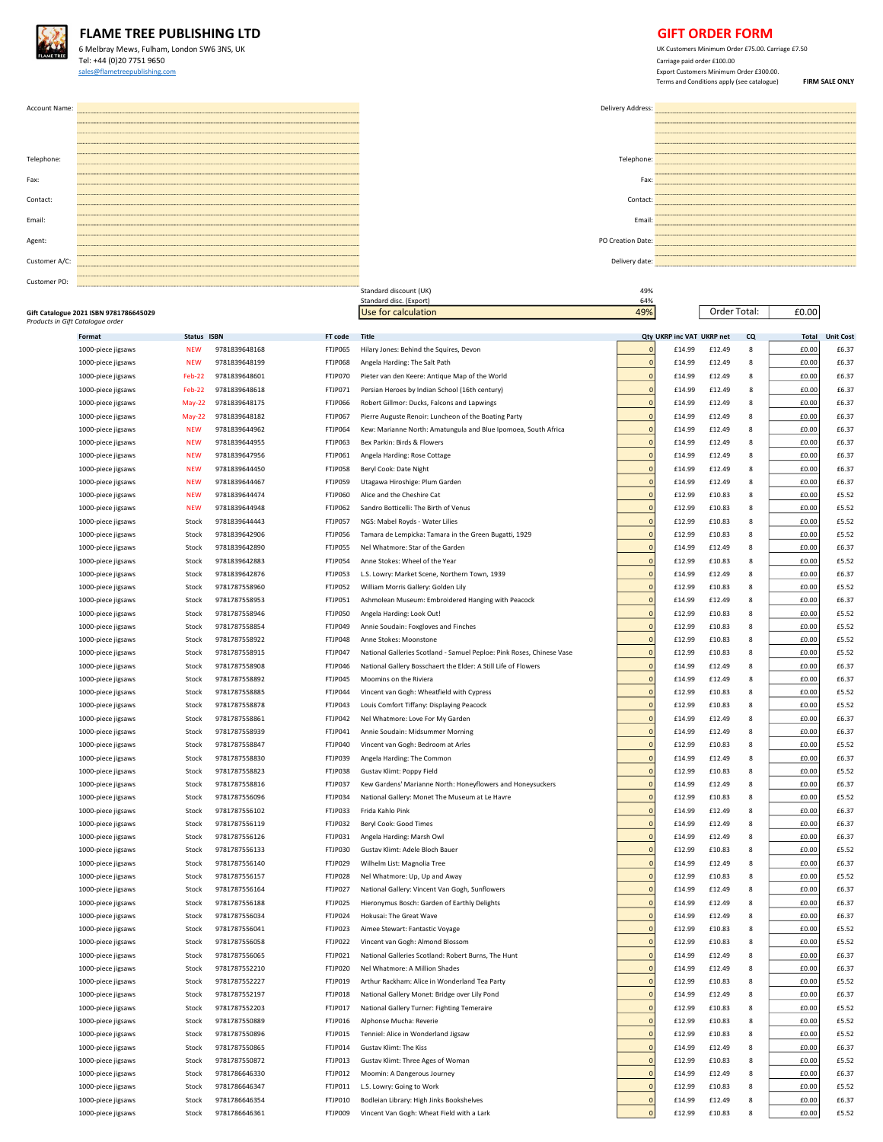

## FLAME TREE PUBLISHING LTD **GIFT ORDER FORM**

6 Melbray Mews, Fulham, London SW6 3NS, UK<br>
Tel: +44 (0)20 7751 9650<br>
Carriage paid order £100.00 Tel: +44 (0)20 7751 9650<br>sales@flametreepublishing.com

 $\underline{\text{Eap} of a number of } \textit{E300.00}.$   $\textit{Erg} of a number of the number of vertices in the image. The number of vertices in the image is the number of vertices in the image. The number of vertices in the image is the number of vertices in the image. The number of vertices in the image is the number of vertices in the image. The number of vertices in the image is the number of vertices in the image. The number of vertices in the image is the number of vertices in the image. The number of vertices in the image is the number of vertices in the image. The number of vertices in the image is the number of vertices in the image. The number of vertices in the image is the number of vertices in the image. The number of vertices in the image is the number of vertices in the image. The number of vertices in the image is the number of vertices in the image. The number of vertices in the image is the number of vertices in$ 

| Account Name: | Delivery Address: |
|---------------|-------------------|
|               |                   |
|               |                   |
|               |                   |
| Telephone:    | Telephone:        |
|               |                   |
| Fax:          | Fax:              |
| Contact:      | Contact:          |
|               |                   |
| Email:        | Email:            |
| Agent:        | PO Creation Date: |
|               |                   |
| Customer A/C: | Delivery date:    |
| Customer PO:  |                   |

| Delivery Address: |  |
|-------------------|--|
|                   |  |
|                   |  |
|                   |  |
|                   |  |
| Telephone:        |  |
|                   |  |
| Fax:              |  |
|                   |  |
| Contact:          |  |
| Fmail:            |  |
|                   |  |
| 'O Creation Date: |  |
|                   |  |
| Delivery date:    |  |

Order Total:

| Gift Catalogue 2021 ISBN 9781786645029<br>Products in Gift Catalogue order |             |               |                | Use for calculation                                                   | 49%            |                           | Order Total: |    | £0.00        |                  |
|----------------------------------------------------------------------------|-------------|---------------|----------------|-----------------------------------------------------------------------|----------------|---------------------------|--------------|----|--------------|------------------|
| Format                                                                     | Status ISBN |               | FT code        | <b>Title</b>                                                          |                | Qty UKRP inc VAT UKRP net |              | CQ | <b>Total</b> | <b>Unit Cost</b> |
| 1000-piece jigsaws                                                         | <b>NEW</b>  | 9781839648168 | FTJP065        | Hilary Jones: Behind the Squires, Devon                               | $\mathsf{C}$   | £14.99                    | £12.49       | 8  | £0.00        | £6.37            |
| 1000-piece jigsaws                                                         | <b>NEW</b>  | 9781839648199 | FTJP068        | Angela Harding: The Salt Path                                         | $\mathfrak{c}$ | £14.99                    | £12.49       | 8  | £0.00        | £6.37            |
| 1000-piece jigsaws                                                         | Feb-22      | 9781839648601 | FTJP070        | Pieter van den Keere: Antique Map of the World                        | $\mathfrak{c}$ | £14.99                    | £12.49       | 8  | £0.00        | £6.37            |
| 1000-piece jigsaws                                                         | Feb-22      | 9781839648618 | FTJP071        | Persian Heroes by Indian School (16th century)                        | $\overline{0}$ | £14.99                    | £12.49       | 8  | £0.00        | £6.37            |
| 1000-piece jigsaws                                                         | May-22      | 9781839648175 | FTJP066        | Robert Gillmor: Ducks, Falcons and Lapwings                           | $\mathfrak{c}$ | £14.99                    | £12.49       | 8  | £0.00        | £6.37            |
| 1000-piece jigsaws                                                         | May-22      | 9781839648182 | FTJP067        | Pierre Auguste Renoir: Luncheon of the Boating Party                  | $\mathfrak{c}$ | £14.99                    | £12.49       | 8  | £0.00        | £6.37            |
| 1000-piece jigsaws                                                         | <b>NEW</b>  | 9781839644962 | <b>FTJP064</b> | Kew: Marianne North: Amatungula and Blue Ipomoea, South Africa        | $\mathfrak{c}$ | £14.99                    | £12.49       | 8  | £0.00        | £6.37            |
| 1000-piece jigsaws                                                         | <b>NEW</b>  | 9781839644955 | FTJP063        | Bex Parkin: Birds & Flowers                                           | $\mathfrak{c}$ | £14.99                    | £12.49       | 8  | £0.00        | £6.37            |
| 1000-piece jigsaws                                                         | <b>NEW</b>  | 9781839647956 | FTJP061        | Angela Harding: Rose Cottage                                          | $\mathbf{0}$   | £14.99                    | £12.49       | 8  | £0.00        | £6.37            |
| 1000-piece jigsaws                                                         | <b>NEW</b>  | 9781839644450 | FTJP058        | Beryl Cook: Date Night                                                | $\mathfrak{c}$ | £14.99                    | £12.49       | 8  | £0.00        | £6.37            |
| 1000-piece jigsaws                                                         | <b>NEW</b>  | 9781839644467 | FTJP059        | Utagawa Hiroshige: Plum Garden                                        | $\overline{0}$ | £14.99                    | £12.49       | 8  | £0.00        | £6.37            |
| 1000-piece jigsaws                                                         | <b>NEW</b>  | 9781839644474 | <b>FTJP060</b> | Alice and the Cheshire Cat                                            | $\mathbf{C}$   | £12.99                    | £10.83       | 8  | £0.00        | £5.52            |
| 1000-piece jigsaws                                                         | <b>NEW</b>  | 9781839644948 | FTJP062        | Sandro Botticelli: The Birth of Venus                                 | $\mathfrak{c}$ | £12.99                    | £10.83       | 8  | £0.00        | £5.52            |
| 1000-piece jigsaws                                                         | Stock       | 9781839644443 | FTJP057        | NGS: Mabel Royds - Water Lilies                                       | $\mathfrak{c}$ | £12.99                    | £10.83       | 8  | £0.00        | £5.52            |
| 1000-piece jigsaws                                                         | Stock       | 9781839642906 | FTJP056        | Tamara de Lempicka: Tamara in the Green Bugatti, 1929                 | $\mathfrak{c}$ | £12.99                    | £10.83       | 8  | £0.00        | £5.52            |
| 1000-piece jigsaws                                                         | Stock       | 9781839642890 | FTJP055        | Nel Whatmore: Star of the Garden                                      | $\mathfrak{c}$ | £14.99                    | £12.49       | 8  | £0.00        | £6.37            |
| 1000-piece jigsaws                                                         | Stock       | 9781839642883 | FTJP054        | Anne Stokes: Wheel of the Year                                        | $\mathbf{0}$   | £12.99                    | £10.83       | 8  | £0.00        | £5.52            |
| 1000-piece jigsaws                                                         | Stock       | 9781839642876 | FTJP053        | L.S. Lowry: Market Scene, Northern Town, 1939                         | $\mathfrak{c}$ | £14.99                    | £12.49       | 8  | £0.00        | £6.37            |
| 1000-piece jigsaws                                                         | Stock       | 9781787558960 | FTJP052        | William Morris Gallery: Golden Lily                                   | $\mathbf{C}$   | £12.99                    | £10.83       | 8  | £0.00        | £5.52            |
| 1000-piece jigsaws                                                         | Stock       | 9781787558953 | FTJP051        | Ashmolean Museum: Embroidered Hanging with Peacock                    | $\mathfrak{c}$ | £14.99                    | £12.49       | 8  | £0.00        | £6.37            |
| 1000-piece jigsaws                                                         | Stock       | 9781787558946 | FTJP050        | Angela Harding: Look Out!                                             | $\mathbf{0}$   | £12.99                    | £10.83       | 8  | £0.00        | £5.52            |
| 1000-piece jigsaws                                                         | Stock       | 9781787558854 | FTJP049        | Annie Soudain: Foxgloves and Finches                                  | $\mathfrak{c}$ | £12.99                    | £10.83       | 8  | £0.00        | £5.52            |
| 1000-piece jigsaws                                                         | Stock       | 9781787558922 | FTJP048        | Anne Stokes: Moonstone                                                | $\mathfrak{c}$ | £12.99                    | £10.83       | 8  | £0.00        | £5.52            |
| 1000-piece jigsaws                                                         | Stock       | 9781787558915 | FTJP047        | National Galleries Scotland - Samuel Peploe: Pink Roses, Chinese Vase | $\mathfrak{o}$ | £12.99                    | £10.83       | 8  | £0.00        | £5.52            |
| 1000-piece jigsaws                                                         | Stock       | 9781787558908 | FTJP046        | National Gallery Bosschaert the Elder: A Still Life of Flowers        | $\mathbf{C}$   | £14.99                    | £12.49       | 8  | £0.00        | £6.37            |
| 1000-piece jigsaws                                                         | Stock       | 9781787558892 | FTJP045        | Moomins on the Riviera                                                | $\epsilon$     | £14.99                    | £12.49       | 8  | £0.00        | £6.37            |
| 1000-piece jigsaws                                                         | Stock       | 9781787558885 | FTJP044        | Vincent van Gogh: Wheatfield with Cypress                             | $\mathfrak{c}$ | £12.99                    | £10.83       | 8  | £0.00        | £5.52            |
| 1000-piece jigsaws                                                         | Stock       | 9781787558878 | FTJP043        | Louis Comfort Tiffany: Displaying Peacock                             | $\mathfrak{c}$ | £12.99                    | £10.83       | 8  | £0.00        | £5.52            |
| 1000-piece jigsaws                                                         | Stock       | 9781787558861 | FTJP042        | Nel Whatmore: Love For My Garden                                      | $\mathfrak{c}$ | £14.99                    | £12.49       | 8  | £0.00        | £6.37            |
| 1000-piece jigsaws                                                         | Stock       | 9781787558939 | FTJP041        | Annie Soudain: Midsummer Morning                                      | $\mathfrak{c}$ | £14.99                    | £12.49       | 8  | £0.00        | £6.37            |
| 1000-piece jigsaws                                                         | Stock       | 9781787558847 | FTJP040        | Vincent van Gogh: Bedroom at Arles                                    | $\mathbf{C}$   | £12.99                    | £10.83       | 8  | £0.00        | £5.52            |
| 1000-piece jigsaws                                                         | Stock       | 9781787558830 | FTJP039        | Angela Harding: The Common                                            | $\mathfrak{c}$ | £14.99                    | £12.49       | 8  | £0.00        | £6.37            |
| 1000-piece jigsaws                                                         | Stock       | 9781787558823 | FTJP038        | Gustav Klimt: Poppy Field                                             | $\mathfrak{c}$ | £12.99                    | £10.83       | 8  | £0.00        | £5.52            |
| 1000-piece jigsaws                                                         | Stock       | 9781787558816 | FTJP037        | Kew Gardens' Marianne North: Honeyflowers and Honeysuckers            | $\mathbf{0}$   | £14.99                    | £12.49       | 8  | £0.00        | £6.37            |
| 1000-piece jigsaws                                                         | Stock       | 9781787556096 | FTJP034        | National Gallery: Monet The Museum at Le Havre                        | $\mathfrak{c}$ | £12.99                    | £10.83       | 8  | £0.00        | £5.52            |
| 1000-piece jigsaws                                                         | Stock       | 9781787556102 | FTJP033        | Frida Kahlo Pink                                                      | $\mathbf{0}$   | £14.99                    | £12.49       | 8  | £0.00        | £6.37            |
| 1000-piece jigsaws                                                         | Stock       | 9781787556119 | FTJP032        | Beryl Cook: Good Times                                                | $\mathbf{C}$   | £14.99                    | £12.49       | 8  | £0.00        | £6.37            |
| 1000-piece jigsaws                                                         | Stock       | 9781787556126 | FTJP031        | Angela Harding: Marsh Owl                                             | $\mathfrak{c}$ | £14.99                    | £12.49       | 8  | £0.00        | £6.37            |
| 1000-piece jigsaws                                                         | Stock       | 9781787556133 | FTJP030        | Gustav Klimt: Adele Bloch Bauer                                       | $\mathfrak{c}$ | £12.99                    | £10.83       | 8  | £0.00        | £5.52            |
| 1000-piece jigsaws                                                         | Stock       | 9781787556140 | FTJP029        | Wilhelm List: Magnolia Tree                                           | $\overline{0}$ | £14.99                    | £12.49       | 8  | £0.00        | £6.37            |
| 1000-piece jigsaws                                                         | Stock       | 9781787556157 | FTJP028        | Nel Whatmore: Up, Up and Away                                         | $\mathfrak{c}$ | £12.99                    | £10.83       | 8  | £0.00        | £5.52            |
| 1000-piece jigsaws                                                         | Stock       | 9781787556164 | FTJP027        | National Gallery: Vincent Van Gogh, Sunflowers                        | $\mathbf{0}$   | £14.99                    | £12.49       | 8  | £0.00        | £6.37            |
| 1000-piece jigsaws                                                         | Stock       | 9781787556188 | FTJP025        | Hieronymus Bosch: Garden of Earthly Delights                          | $\mathfrak{c}$ | £14.99                    | £12.49       | 8  | £0.00        | £6.37            |
| 1000-piece jigsaws                                                         | Stock       | 9781787556034 | FTJP024        | Hokusai: The Great Wave                                               | $\mathfrak{c}$ | £14.99                    | £12.49       | 8  | £0.00        | £6.37            |
| 1000-piece jigsaws                                                         | Stock       | 9781787556041 | FTJP023        | Aimee Stewart: Fantastic Voyage                                       | $\mathfrak{g}$ | £12.99                    | £10.83       | 8  | £0.00        | £5.52            |
| 1000-piece jigsaws                                                         | Stock       | 9781787556058 | FTJP022        | Vincent van Gogh: Almond Blossom                                      | $\mathfrak{c}$ | £12.99                    | £10.83       | 8  | £0.00        | £5.52            |
| 1000-piece jigsaws                                                         |             | 9781787556065 | FTJP021        | National Galleries Scotland: Robert Burns, The Hunt                   |                | £14.99                    |              |    | £0.00        | £6.37            |
| 1000-piece jigsaws                                                         | Stock       | 9781787552210 | FTJP020        | Nel Whatmore: A Million Shades                                        | $\bullet$      | £14.99                    | £12.49       | 8  | £0.00        | £6.37            |
| 1000-piece jigsaws                                                         | Stock       | 9781787552227 | FTJP019        | Arthur Rackham: Alice in Wonderland Tea Party                         | C              | £12.99                    | £10.83       | 8  | £0.00        | £5.52            |
| 1000-piece jigsaws                                                         | Stock       | 9781787552197 | FTJP018        | National Gallery Monet: Bridge over Lily Pond                         | $\mathfrak{c}$ | £14.99                    | £12.49       | 8  | £0.00        | £6.37            |
| 1000-piece jigsaws                                                         | Stock       | 9781787552203 | FTJP017        | National Gallery Turner: Fighting Temeraire                           | $\mathfrak{c}$ | £12.99                    | £10.83       | 8  | £0.00        | £5.52            |
| 1000-piece jigsaws                                                         | Stock       | 9781787550889 | FTJP016        | Alphonse Mucha: Reverie                                               | $\mathfrak{c}$ | £12.99                    | £10.83       | 8  | £0.00        | £5.52            |
| 1000-piece jigsaws                                                         | Stock       | 9781787550896 | FTJP015        | Tenniel: Alice in Wonderland Jigsaw                                   | $\mathfrak{c}$ | £12.99                    | £10.83       | 8  | £0.00        | £5.52            |
| 1000-piece jigsaws                                                         | Stock       | 9781787550865 | FTJP014        | Gustav Klimt: The Kiss                                                | $\mathbf{0}$   | £14.99                    | £12.49       | 8  | £0.00        | £6.37            |
| 1000-piece jigsaws                                                         | Stock       | 9781787550872 | FTJP013        | Gustav Klimt: Three Ages of Woman                                     | $\mathfrak{c}$ | £12.99                    | £10.83       | 8  | £0.00        | £5.52            |
| 1000-piece jigsaws                                                         | Stock       | 9781786646330 | FTJP012        | Moomin: A Dangerous Journey                                           | $\mathfrak{c}$ | £14.99                    | £12.49       | 8  | £0.00        | £6.37            |
| 1000-piece jigsaws                                                         | Stock       | 9781786646347 | FTJP011        | L.S. Lowry: Going to Work                                             | $\mathbf{C}$   | £12.99                    | £10.83       | 8  | £0.00        | £5.52            |
| 1000-piece jigsaws                                                         | Stock       | 9781786646354 | FTJP010        | Bodleian Library: High Jinks Bookshelves                              | $\mathbf{0}$   | £14.99                    | £12.49       | 8  | £0.00        | £6.37            |
| 1000-piece jigsaws                                                         | Stock       | 9781786646361 | FTJP009        | Vincent Van Gogh: Wheat Field with a Lark                             | $\overline{0}$ | £12.99                    | £10.83       | 8  | £0.00        | £5.52            |
|                                                                            |             |               |                |                                                                       |                |                           |              |    |              |                  |

Standard discount (UK) 49% (Standard discount (UK) 49% (Standard disc. (Export) 64% (Standard disc. (Export) 64% (Standard disc. (Export) 64% (Standard disc. (Export) 64% (Standard disc. (Export) 64% (Standard disc. (Stand

Standard disc. (Export)<br>Use for calculation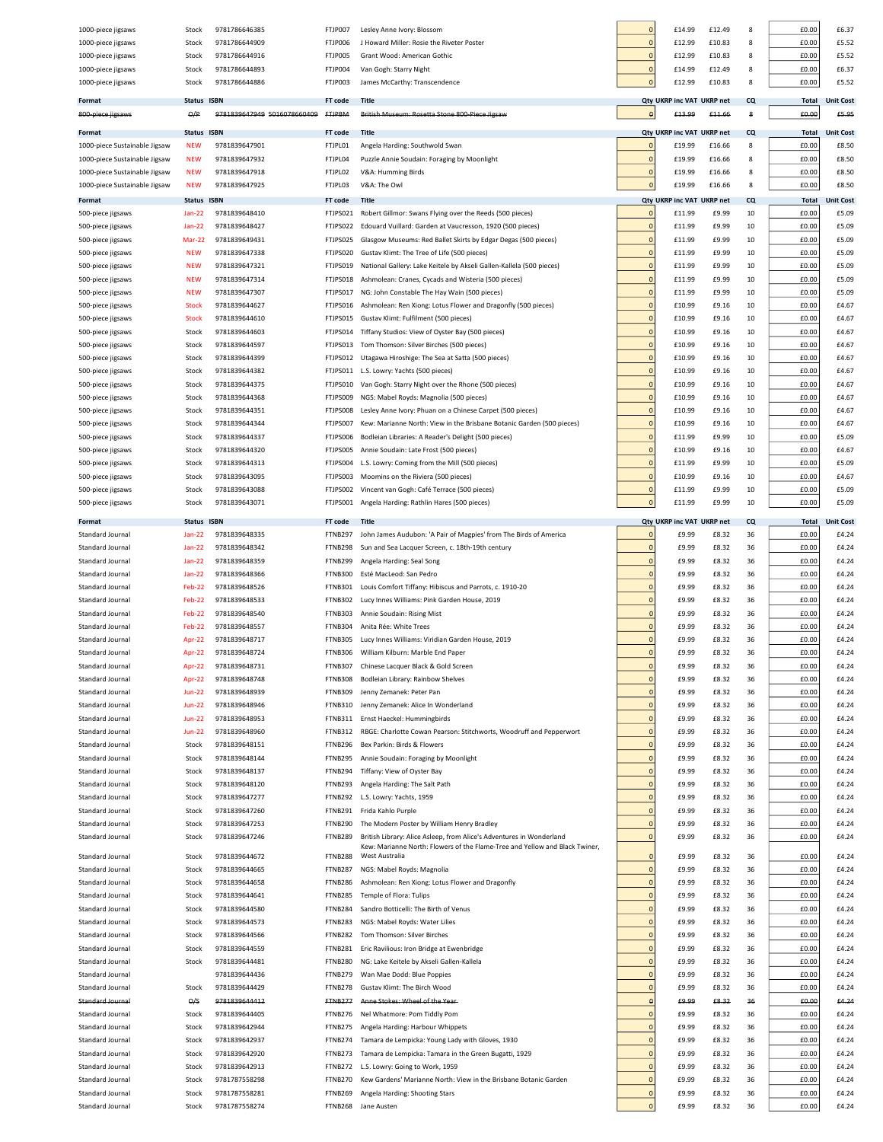| 1000-piece jigsaws            | Stock         | 9781786646385               | FTJP007        | Lesley Anne Ivory: Blossom                                                                                                                          | $\overline{0}$ | £14.99                    | £12.49          | 8  | £0.00        | £6.37            |
|-------------------------------|---------------|-----------------------------|----------------|-----------------------------------------------------------------------------------------------------------------------------------------------------|----------------|---------------------------|-----------------|----|--------------|------------------|
| 1000-piece jigsaws            | Stock         | 9781786644909               | FTJP006        | J Howard Miller: Rosie the Riveter Poster                                                                                                           | $\overline{0}$ | £12.99                    | £10.83          | 8  | £0.00        | £5.52            |
| 1000-piece jigsaws            | Stock         | 9781786644916               | FTJP005        | Grant Wood: American Gothic                                                                                                                         | $\overline{0}$ | £12.99                    | £10.83          | 8  | £0.00        | £5.52            |
| 1000-piece jigsaws            | Stock         | 9781786644893               | FTJP004        | Van Gogh: Starry Night                                                                                                                              | $\overline{0}$ | £14.99                    | £12.49          | 8  | £0.00        | £6.37            |
| 1000-piece jigsaws            | Stock         | 9781786644886               | FTJP003        | James McCarthy: Transcendence                                                                                                                       | $\pmb{0}$      | £12.99                    | £10.83          | 8  | £0.00        | £5.52            |
|                               |               |                             |                |                                                                                                                                                     |                |                           |                 |    |              |                  |
| Format                        | <b>Status</b> | <b>ISBN</b>                 | FT code        | <b>Title</b>                                                                                                                                        |                | Qty UKRP inc VAT UKRP net |                 | CQ | <b>Total</b> | <b>Unit Cost</b> |
| 800 piece jigsaws             | $\Theta/P$    | 9781839647949 5016078660409 | <b>FTJPBM</b>  | British Museum: Rosetta Stone 800 Piece Jigsaw                                                                                                      | $\theta$       | £13.99                    | £11.66          | 8  | £0.00        | £5.95            |
| Format                        | <b>Status</b> | <b>ISBN</b>                 | FT code        | <b>Title</b>                                                                                                                                        |                | Qty UKRP inc VAT UKRP net |                 | CQ | Total        | <b>Unit Cost</b> |
| 1000-piece Sustainable Jigsaw | <b>NEW</b>    | 9781839647901               | FTJPL01        | Angela Harding: Southwold Swan                                                                                                                      | $\overline{0}$ | £19.99                    | £16.66          | 8  | £0.00        | £8.50            |
| 1000-piece Sustainable Jigsaw | <b>NEW</b>    | 9781839647932               | FTJPL04        | Puzzle Annie Soudain: Foraging by Moonlight                                                                                                         | $\overline{0}$ | £19.99                    | £16.66          | 8  | £0.00        | £8.50            |
| 1000-piece Sustainable Jigsaw | <b>NEW</b>    | 9781839647918               | FTJPL02        | V&A: Humming Birds                                                                                                                                  | $\overline{0}$ | £19.99                    | £16.66          | 8  | £0.00        | £8.50            |
| 1000-piece Sustainable Jigsaw | <b>NEW</b>    | 9781839647925               | FTJPL03        | V&A: The Owl                                                                                                                                        | $\pmb{0}$      | £19.99                    | £16.66          | 8  | £0.00        | £8.50            |
|                               |               |                             |                |                                                                                                                                                     |                |                           |                 |    |              |                  |
| Format                        | <b>Status</b> | <b>ISBN</b>                 | FT code        | <b>Title</b>                                                                                                                                        |                | Qty UKRP inc VAT UKRP net |                 | CQ | <b>Total</b> | <b>Unit Cost</b> |
| 500-piece jigsaws             | <b>Jan-22</b> | 9781839648410               | FTJPS021       | Robert Gillmor: Swans Flying over the Reeds (500 pieces)                                                                                            | $\mathbf 0$    | £11.99                    | £9.99           | 10 | £0.00        | £5.09            |
| 500-piece jigsaws             | <b>Jan-22</b> | 9781839648427               | FTJPS022       | Edouard Vuillard: Garden at Vaucresson, 1920 (500 pieces)                                                                                           | $\overline{0}$ | £11.99                    | £9.99           | 10 | £0.00        | £5.09            |
| 500-piece jigsaws             | Mar-22        | 9781839649431               | FTJPS025       | Glasgow Museums: Red Ballet Skirts by Edgar Degas (500 pieces)                                                                                      | $\overline{0}$ | £11.99                    | £9.99           | 10 | £0.00        | £5.09            |
| 500-piece jigsaws             | NEW           | 9781839647338               | FTJPS020       | Gustav Klimt: The Tree of Life (500 pieces)                                                                                                         | $\overline{0}$ | £11.99                    | £9.99           | 10 | £0.00        | £5.09            |
| 500-piece jigsaws             | <b>NEW</b>    | 9781839647321               | FTJPS019       | National Gallery: Lake Keitele by Akseli Gallen-Kallela (500 pieces)                                                                                | $\overline{0}$ | £11.99                    | £9.99           | 10 | £0.00        | £5.09            |
| 500-piece jigsaws             | <b>NEW</b>    | 9781839647314               | FTJPS018       | Ashmolean: Cranes, Cycads and Wisteria (500 pieces)                                                                                                 | $\overline{0}$ | £11.99                    | £9.99           | 10 | £0.00        | £5.09            |
| 500-piece jigsaws             | NEW           | 9781839647307               | FTJPS017       | NG: John Constable The Hay Wain (500 pieces)                                                                                                        | $\overline{0}$ | £11.99                    | £9.99           | 10 | £0.00        | £5.09            |
| 500-piece jigsaws             | <b>Stock</b>  | 9781839644627               | FTJPS016       | Ashmolean: Ren Xiong: Lotus Flower and Dragonfly (500 pieces)                                                                                       | $\overline{0}$ | £10.99                    | £9.16           | 10 | £0.00        | £4.6             |
| 500-piece jigsaws             | <b>Stock</b>  | 9781839644610               | FTJPS015       | Gustav Klimt: Fulfilment (500 pieces)                                                                                                               | $\overline{0}$ | £10.99                    | £9.16           | 10 | £0.00        | £4.67            |
| 500-piece jigsaws             | Stock         | 9781839644603               | FTJPS014       | Tiffany Studios: View of Oyster Bay (500 pieces)                                                                                                    | $\overline{0}$ | £10.99                    | £9.16           | 10 | £0.00        | £4.6             |
| 500-piece jigsaws             | Stock         | 9781839644597               | FTJPS013       | Tom Thomson: Silver Birches (500 pieces)                                                                                                            | $\overline{0}$ | £10.99                    | £9.16           | 10 | £0.00        | £4.67            |
| 500-piece jigsaws             | Stock         | 9781839644399               | FTJPS012       | Utagawa Hiroshige: The Sea at Satta (500 pieces)                                                                                                    | $\overline{0}$ | £10.99                    | £9.16           | 10 | £0.00        | £4.67            |
| 500-piece jigsaws             | Stock         | 9781839644382               | FTJPS011       | L.S. Lowry: Yachts (500 pieces)                                                                                                                     | $\overline{0}$ | £10.99                    | £9.16           | 10 | £0.00        | £4.67            |
| 500-piece jigsaws             | Stock         | 9781839644375               | FTJPS010       | Van Gogh: Starry Night over the Rhone (500 pieces)                                                                                                  | $\overline{0}$ | £10.99                    | £9.16           | 10 | £0.00        | £4.67            |
| 500-piece jigsaws             | Stock         | 9781839644368               | FTJPS009       | NGS: Mabel Royds: Magnolia (500 pieces)                                                                                                             | $\overline{0}$ | £10.99                    | £9.16           | 10 | £0.00        | £4.67            |
| 500-piece jigsaws             | Stock         | 9781839644351               | FTJPS008       | Lesley Anne Ivory: Phuan on a Chinese Carpet (500 pieces)                                                                                           | $\overline{0}$ | £10.99                    | £9.16           | 10 | £0.00        | £4.67            |
| 500-piece jigsaws             | Stock         | 9781839644344               | FTJPS007       | Kew: Marianne North: View in the Brisbane Botanic Garden (500 pieces)                                                                               | $\overline{0}$ | £10.99                    | £9.16           | 10 | £0.00        | £4.67            |
| 500-piece jigsaws             | Stock         | 9781839644337               | FTJPS006       | Bodleian Libraries: A Reader's Delight (500 pieces)                                                                                                 | $\overline{0}$ | £11.99                    | £9.99           | 10 | £0.00        | £5.09            |
| 500-piece jigsaws             | Stock         | 9781839644320               | FTJPS005       | Annie Soudain: Late Frost (500 pieces)                                                                                                              | $\overline{0}$ | £10.99                    | £9.16           | 10 | £0.00        | £4.67            |
| 500-piece jigsaws             | Stock         | 9781839644313               | FTJPS004       | L.S. Lowry: Coming from the Mill (500 pieces)                                                                                                       | $\overline{0}$ | £11.99                    | £9.99           | 10 | £0.00        | £5.09            |
| 500-piece jigsaws             | Stock         | 9781839643095               | FTJPS003       | Moomins on the Riviera (500 pieces)                                                                                                                 | $\overline{0}$ | £10.99                    | £9.16           | 10 | £0.00        | £4.67            |
|                               |               | 9781839643088               | FTJPS002       |                                                                                                                                                     | $\overline{0}$ | £11.99                    | £9.99           | 10 | £0.00        | £5.09            |
| 500-piece jigsaws             | Stock         |                             |                | Vincent van Gogh: Café Terrace (500 pieces)                                                                                                         | $\overline{0}$ |                           |                 |    |              |                  |
| 500-piece jigsaws             | Stock         | 9781839643071               | FTJPS001       | Angela Harding: Rathlin Hares (500 pieces)                                                                                                          |                | £11.99                    | £9.99           | 10 | £0.00        | £5.09            |
| Format                        | <b>Status</b> | <b>ISBN</b>                 | FT code        | Title                                                                                                                                               |                | <b>Qty UKRP inc VAT</b>   | <b>UKRP</b> net | CQ | <b>Total</b> | <b>Unit Cost</b> |
| Standard Journal              | <b>Jan-22</b> | 9781839648335               | FTNB297        | John James Audubon: 'A Pair of Magpies' from The Birds of America                                                                                   | $\circ$        | £9.99                     | £8.32           | 36 | £0.00        | £4.24            |
| Standard Journal              | <b>Jan-22</b> | 9781839648342               | FTNB298        | Sun and Sea Lacquer Screen, c. 18th-19th century                                                                                                    | $\overline{0}$ | £9.99                     | £8.32           | 36 | £0.00        | £4.24            |
| Standard Journal              | <b>Jan-22</b> | 9781839648359               | FTNB299        | Angela Harding: Seal Song                                                                                                                           | $\overline{0}$ | £9.99                     | £8.32           | 36 | £0.00        | £4.24            |
| Standard Journal              | <b>Jan-22</b> | 9781839648366               | FTNB300        | Esté MacLeod: San Pedro                                                                                                                             | $\overline{0}$ | £9.99                     | £8.32           | 36 | £0.00        | £4.24            |
| Standard Journal              | Feb-22        | 9781839648526               | <b>FTNB301</b> | Louis Comfort Tiffany: Hibiscus and Parrots, c. 1910-20                                                                                             | $\overline{0}$ | £9.99                     | £8.32           | 36 | £0.00        | £4.24            |
| Standard Journal              | Feb-22        | 9781839648533               | FTNB302        | Lucy Innes Williams: Pink Garden House, 2019                                                                                                        | $\overline{0}$ | £9.99                     | £8.32           | 36 | £0.00        | £4.24            |
| Standard Journal              | Feb-22        | 9781839648540               | <b>FTNB303</b> | Annie Soudain: Rising Mist                                                                                                                          | $\overline{0}$ | £9.99                     | £8.32           | 36 | £0.00        | £4.24            |
| Standard Journal              | Feb-22        | 9781839648557               | FTNB304        | Anita Rée: White Trees                                                                                                                              | $\overline{0}$ | £9.99                     | £8.32           | 36 | £0.00        | £4.24            |
| Standard Journal              | Apr-22        | 9781839648717               | <b>FTNB305</b> | Lucy Innes Williams: Viridian Garden House, 2019                                                                                                    | $\overline{0}$ | £9.99                     | £8.32           | 36 | £0.00        | £4.24            |
| Standard Journal              | Apr-22        | 9781839648724               | <b>FTNB306</b> | William Kilburn: Marble End Paper                                                                                                                   | $\overline{0}$ | £9.99                     | £8.32           | 36 | £0.00        | £4.24            |
| Standard Journal              |               | 9781839648731               | FTNR307        | Chinese Lacquer Black & Gold Screen                                                                                                                 |                | £d dd                     |                 |    | £0.00        | £4 74            |
| Standard Journal              | Apr-22        | 9781839648748               | FTNB308        | Bodleian Library: Rainbow Shelves                                                                                                                   | $\circ$        | £9.99                     | £8.32           | 36 | £0.00        | £4.24            |
| Standard Journal              | <b>Jun-22</b> | 9781839648939               | FTNB309        | Jenny Zemanek: Peter Pan                                                                                                                            | $\circ$        | £9.99                     | £8.32           | 36 | £0.00        | £4.24            |
| Standard Journal              | <b>Jun-22</b> | 9781839648946               | FTNB310        | Jenny Zemanek: Alice In Wonderland                                                                                                                  | $\overline{0}$ | £9.99                     | £8.32           | 36 | £0.00        | £4.24            |
|                               |               |                             |                |                                                                                                                                                     | $\mathbf 0$    |                           |                 |    |              |                  |
| Standard Journal              | <b>Jun-22</b> | 9781839648953               | <b>FTNB311</b> | Ernst Haeckel: Hummingbirds                                                                                                                         |                | £9.99                     | £8.32           | 36 | £0.00        | £4.24            |
| Standard Journal              | <b>Jun-22</b> | 9781839648960               | <b>FTNB312</b> | RBGE: Charlotte Cowan Pearson: Stitchworts, Woodruff and Pepperwort                                                                                 | $\mathbf{0}$   | £9.99                     | £8.32           | 36 | £0.00        | £4.24            |
| Standard Journal              | Stock         | 9781839648151               | FTNB296        | Bex Parkin: Birds & Flowers                                                                                                                         | $\mathbf 0$    | £9.99                     | £8.32           | 36 | £0.00        | £4.24            |
| Standard Journal              | Stock         | 9781839648144               | FTNB295        | Annie Soudain: Foraging by Moonlight                                                                                                                | $\overline{0}$ | £9.99                     | £8.32           | 36 | £0.00        | £4.24            |
| Standard Journal              | Stock         | 9781839648137               | FTNB294        | Tiffany: View of Oyster Bay                                                                                                                         | $\overline{0}$ | £9.99                     | £8.32           | 36 | £0.00        | £4.24            |
| Standard Journal              | Stock         | 9781839648120               | FTNB293        | Angela Harding: The Salt Path                                                                                                                       | $\overline{0}$ | £9.99                     | £8.32           | 36 | £0.00        | £4.24            |
| Standard Journal              | Stock         | 9781839647277               | FTNB292        | L.S. Lowry: Yachts, 1959                                                                                                                            | $\overline{0}$ | £9.99                     | £8.32           | 36 | £0.00        | £4.24            |
| Standard Journal              | Stock         | 9781839647260               | <b>FTNB291</b> | Frida Kahlo Purple                                                                                                                                  | $\circ$        | £9.99                     | £8.32           | 36 | £0.00        | £4.24            |
| Standard Journal              | Stock         | 9781839647253               | FTNB290        | The Modern Poster by William Henry Bradley                                                                                                          | $\overline{0}$ | £9.99                     | £8.32           | 36 | £0.00        | £4.24            |
| Standard Journal              | Stock         | 9781839647246               | FTNB289        | British Library: Alice Asleep, from Alice's Adventures in Wonderland<br>Kew: Marianne North: Flowers of the Flame-Tree and Yellow and Black Twiner, | $\overline{0}$ | £9.99                     | £8.32           | 36 | £0.00        | £4.24            |
| Standard Journal              | Stock         | 9781839644672               | FTNB288        | West Australia                                                                                                                                      | $\overline{0}$ | £9.99                     | £8.32           | 36 | £0.00        | £4.24            |
| Standard Journal              | Stock         | 9781839644665               | FTNB287        | NGS: Mabel Royds: Magnolia                                                                                                                          | $\overline{0}$ | £9.99                     | £8.32           | 36 | £0.00        | £4.24            |
| Standard Journal              | Stock         | 9781839644658               | FTNB286        | Ashmolean: Ren Xiong: Lotus Flower and Dragonfly                                                                                                    | $\overline{0}$ | £9.99                     | £8.32           | 36 | £0.00        | £4.24            |
| Standard Journal              | Stock         | 9781839644641               | FTNB285        | Temple of Flora: Tulips                                                                                                                             | $\circ$        | £9.99                     | £8.32           | 36 | £0.00        | £4.24            |
| Standard Journal              | Stock         | 9781839644580               | FTNB284        | Sandro Botticelli: The Birth of Venus                                                                                                               | $\mathbf 0$    | £9.99                     | £8.32           | 36 | £0.00        | £4.24            |
| Standard Journal              | Stock         | 9781839644573               | FTNB283        | NGS: Mabel Royds: Water Lilies                                                                                                                      | $\mathbf 0$    | £9.99                     | £8.32           | 36 | £0.00        | £4.24            |
|                               |               |                             |                |                                                                                                                                                     | $\mathbf 0$    |                           |                 |    |              |                  |
| Standard Journal              | Stock         | 9781839644566               | <b>FTNB282</b> | Tom Thomson: Silver Birches                                                                                                                         |                | £9.99                     | £8.32           | 36 | £0.00        | £4.24            |
| Standard Journal              | Stock         | 9781839644559               | <b>FTNB281</b> | Eric Ravilious: Iron Bridge at Ewenbridge                                                                                                           | $\overline{0}$ | £9.99                     | £8.32           | 36 | £0.00        | £4.24            |
| Standard Journal              | Stock         | 9781839644481               | <b>FTNB280</b> | NG: Lake Keitele by Akseli Gallen-Kallela                                                                                                           | $\overline{0}$ | £9.99                     | £8.32           | 36 | £0.00        | £4.24            |
| Standard Journal              |               | 9781839644436               | FTNB279        | Wan Mae Dodd: Blue Poppies                                                                                                                          | $\overline{0}$ | £9.99                     | £8.32           | 36 | £0.00        | £4.24            |
| Standard Journal              | Stock         | 9781839644429               | FTNB278        | Gustav Klimt: The Birch Wood                                                                                                                        | $\overline{0}$ | £9.99                     | £8.32           | 36 | £0.00        | £4.24            |
| Standard Journal              | $\Theta$ /S   | 9781839644412               | <b>FTNB277</b> | Anne Stokes: Wheel of the Year-                                                                                                                     | $\theta$       | £9.99                     | £8.32           | 36 | £0.00        | £4.24            |
| Standard Journal              | Stock         | 9781839644405               | FTNB276        | Nel Whatmore: Pom Tiddly Pom                                                                                                                        | $\overline{0}$ | £9.99                     | £8.32           | 36 | £0.00        | £4.24            |
| Standard Journal              | Stock         | 9781839642944               | FTNB275        | Angela Harding: Harbour Whippets                                                                                                                    | $\circ$        | £9.99                     | £8.32           | 36 | £0.00        | £4.24            |
| Standard Journal              | Stock         | 9781839642937               | FTNB274        | Tamara de Lempicka: Young Lady with Gloves, 1930                                                                                                    | $\overline{0}$ | £9.99                     | £8.32           | 36 | £0.00        | £4.24            |
| Standard Journal              | Stock         | 9781839642920               | FTNB273        | Tamara de Lempicka: Tamara in the Green Bugatti, 1929                                                                                               | $\circ$        | £9.99                     | £8.32           | 36 | £0.00        | £4.24            |
| Standard Journal              | Stock         | 9781839642913               | FTNB272        | L.S. Lowry: Going to Work, 1959                                                                                                                     | $\mathbf 0$    | £9.99                     | £8.32           | 36 | £0.00        | £4.24            |
| Standard Journa               | Stock         | 9781787558298               | FTNB270        | Kew Gardens' Marianne North: View in the Brisbane Botanic Garden                                                                                    | $\mathbf{0}$   | £9.99                     | £8.32           | 36 | £0.00        | £4.24            |
| Standard Journa               | Stock         | 9781787558281               | FTNB269        | Angela Harding: Shooting Stars                                                                                                                      | $\overline{0}$ | £9.99                     | £8.32           | 36 | £0.00        | £4.24            |
| Standard Journal              | Stock         | 9781787558274               | FTNB268        | Jane Austen                                                                                                                                         | $\overline{0}$ | £9.99                     | £8.32           | 36 | £0.00        | £4.24            |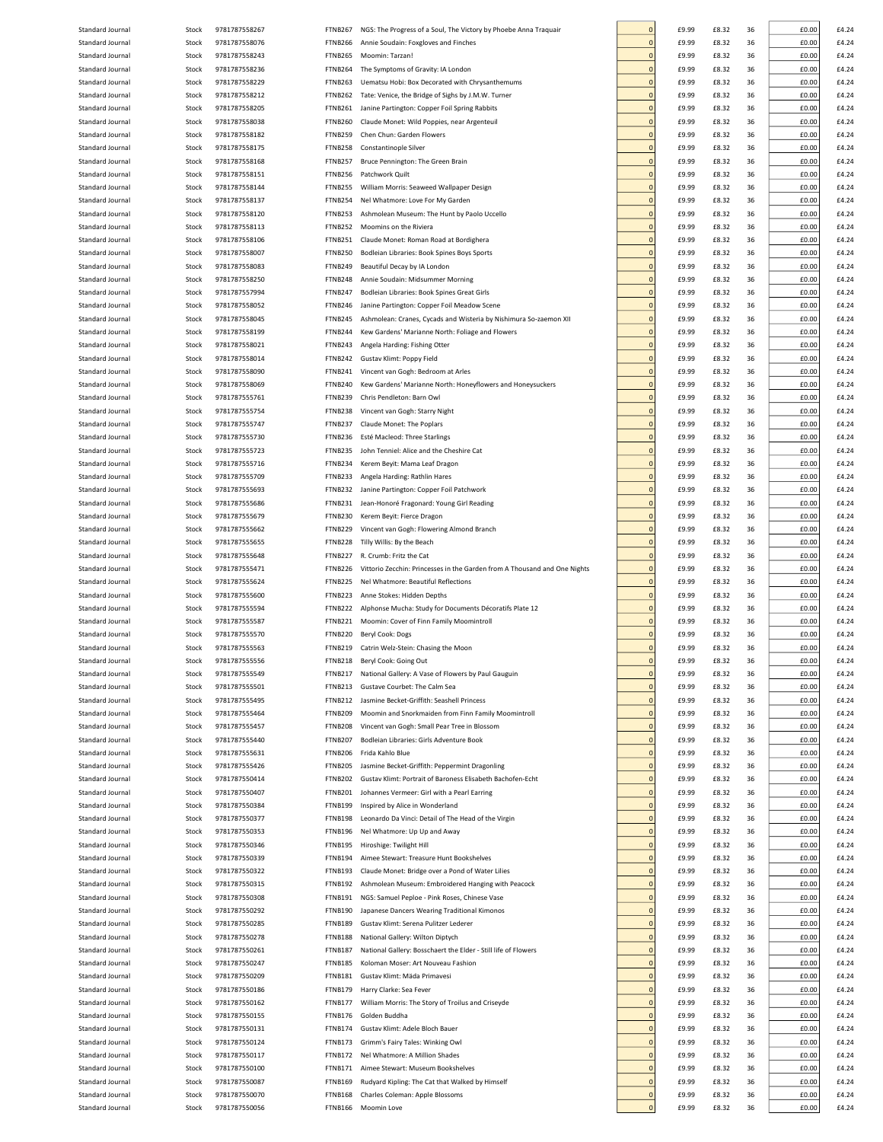| Standard Journal                     |                |                                |                    |                                                                           |                               |                |                |          |                |                |
|--------------------------------------|----------------|--------------------------------|--------------------|---------------------------------------------------------------------------|-------------------------------|----------------|----------------|----------|----------------|----------------|
|                                      | Stock          | 9781787558267                  | FTNB267            | NGS: The Progress of a Soul, The Victory by Phoebe Anna Traquair          | $\Omega$                      | £9.99          | £8.32          | 36       | £0.00          | £4.24          |
| Standard Journal                     | Stock          | 9781787558076                  | FTNB266            | Annie Soudain: Foxgloves and Finches                                      | $\mathbf 0$                   | £9.99          | £8.32          | 36       | £0.00          | £4.24          |
| Standard Journal                     | Stock          | 9781787558243                  | FTNB265            | Moomin: Tarzan!                                                           | $\mathbf{0}$                  | £9.99          | £8.32          | 36       | £0.00          | £4.24          |
| Standard Journal                     | Stock          | 9781787558236                  | FTNB264            | The Symptoms of Gravity: IA London                                        | $\mathbf 0$                   | £9.99          | £8.32          | 36       | £0.00          | £4.24          |
|                                      |                |                                |                    |                                                                           |                               |                |                |          |                |                |
| Standard Journal                     | Stock          | 9781787558229                  | <b>FTNB263</b>     | Uematsu Hobi: Box Decorated with Chrysanthemums                           | $\mathbf 0$                   | £9.99          | £8.32          | 36       | £0.00          | £4.24          |
| Standard Journal                     | Stock          | 9781787558212                  | FTNB262            | Tate: Venice, the Bridge of Sighs by J.M.W. Turner                        | $\mathbf 0$                   | £9.99          | £8.32          | 36       | £0.00          | £4.24          |
| Standard Journal                     | Stock          | 9781787558205                  | FTNB261            | Janine Partington: Copper Foil Spring Rabbits                             | $\mathbf 0$                   | £9.99          | £8.32          | 36       | £0.00          | £4.24          |
|                                      |                |                                |                    |                                                                           |                               |                |                |          |                |                |
| Standard Journal                     | Stock          | 9781787558038                  | FTNB260            | Claude Monet: Wild Poppies, near Argenteuil                               | $\mathbf 0$                   | £9.99          | £8.32          | 36       | £0.00          | £4.24          |
| Standard Journal                     | Stock          | 9781787558182                  | FTNB259            | Chen Chun: Garden Flowers                                                 | $\overline{0}$                | £9.99          | £8.32          | 36       | £0.00          | £4.24          |
| Standard Journal                     | Stock          | 9781787558175                  | FTNB258            | Constantinople Silver                                                     | $\overline{0}$                | £9.99          | £8.32          | 36       | £0.00          | £4.24          |
|                                      |                |                                |                    |                                                                           |                               |                |                |          |                |                |
| Standard Journal                     | Stock          | 9781787558168                  | FTNB257            | Bruce Pennington: The Green Brain                                         | $\overline{0}$                | £9.99          | £8.32          | 36       | £0.00          | £4.24          |
| Standard Journal                     | Stock          | 9781787558151                  | FTNB256            | Patchwork Quilt                                                           | $\overline{0}$                | £9.99          | £8.32          | 36       | £0.00          | £4.24          |
| Standard Journal                     | Stock          | 9781787558144                  | FTNB255            | William Morris: Seaweed Wallpaper Design                                  | $\mathbf{0}$                  | £9.99          | £8.32          | 36       | £0.00          | £4.24          |
|                                      |                |                                |                    |                                                                           | $\mathbf{0}$                  |                |                |          |                |                |
| Standard Journal                     | Stock          | 9781787558137                  | FTNB254            | Nel Whatmore: Love For My Garden                                          |                               | £9.99          | £8.32          | 36       | £0.00          | £4.24          |
| Standard Journal                     | Stock          | 9781787558120                  | FTNB253            | Ashmolean Museum: The Hunt by Paolo Uccello                               | $\mathbf{0}$                  | £9.99          | £8.32          | 36       | £0.00          | £4.24          |
| Standard Journal                     | Stock          | 9781787558113                  | FTNB252            | Moomins on the Riviera                                                    | $\mathbf 0$                   | £9.99          | £8.32          | 36       | £0.00          | £4.24          |
| Standard Journal                     | Stock          | 9781787558106                  | FTNB251            | Claude Monet: Roman Road at Bordighera                                    | $\mathbf 0$                   | £9.99          | £8.32          | 36       | £0.00          | £4.24          |
|                                      |                |                                |                    |                                                                           |                               |                |                |          |                |                |
| Standard Journal                     | Stock          | 9781787558007                  | FTNB250            | Bodleian Libraries: Book Spines Boys Sports                               | $\overline{0}$                | £9.99          | £8.32          | 36       | £0.00          | £4.24          |
| Standard Journal                     | Stock          | 9781787558083                  | FTNB249            | Beautiful Decay by IA London                                              | $\overline{0}$                | £9.99          | £8.32          | 36       | £0.00          | £4.24          |
| Standard Journal                     | Stock          | 9781787558250                  | FTNB248            | Annie Soudain: Midsummer Morning                                          | $\overline{0}$                | £9.99          | £8.32          | 36       | £0.00          | £4.24          |
|                                      |                |                                |                    |                                                                           |                               |                |                |          |                |                |
| Standard Journal                     | Stock          | 9781787557994                  | FTNB247            | Bodleian Libraries: Book Spines Great Girls                               | $\overline{0}$                | £9.99          | £8.32          | 36       | £0.00          | £4.24          |
| Standard Journal                     | Stock          | 9781787558052                  | FTNB246            | Janine Partington: Copper Foil Meadow Scene                               | $\overline{0}$                | £9.99          | £8.32          | 36       | £0.00          | £4.24          |
| Standard Journal                     | Stock          | 9781787558045                  | FTNB245            | Ashmolean: Cranes, Cycads and Wisteria by Nishimura So-zaemon XII         | $\overline{0}$                | £9.99          | £8.32          | 36       | £0.00          | £4.24          |
| Standard Journal                     |                |                                | FTNB244            |                                                                           | $\overline{0}$                |                |                |          | £0.00          |                |
|                                      | Stock          | 9781787558199                  |                    | Kew Gardens' Marianne North: Foliage and Flowers                          |                               | £9.99          | £8.32          | 36       |                | £4.24          |
| Standard Journal                     | Stock          | 9781787558021                  | FTNB243            | Angela Harding: Fishing Otter                                             | $\overline{0}$                | £9.99          | £8.32          | 36       | £0.00          | £4.24          |
| Standard Journal                     | Stock          | 9781787558014                  | FTNB242            | Gustav Klimt: Poppy Field                                                 | $\overline{0}$                | £9.99          | £8.32          | 36       | £0.00          | £4.24          |
| Standard Journal                     | Stock          | 9781787558090                  | FTNB241            | Vincent van Gogh: Bedroom at Arles                                        | $\mathbf 0$                   | £9.99          | £8.32          | 36       | £0.00          | £4.24          |
|                                      |                |                                |                    |                                                                           |                               |                |                |          |                |                |
| Standard Journal                     | Stock          | 9781787558069                  | FTNB240            | Kew Gardens' Marianne North: Honeyflowers and Honeysuckers                | $\mathbf 0$                   | £9.99          | £8.32          | 36       | £0.00          | £4.24          |
| Standard Journal                     | Stock          | 9781787555761                  | FTNB239            | Chris Pendleton: Barn Owl                                                 | $\mathbf 0$                   | £9.99          | £8.32          | 36       | £0.00          | £4.24          |
| Standard Journal                     | Stock          | 9781787555754                  | FTNB238            | Vincent van Gogh: Starry Night                                            | $\mathbf 0$                   | £9.99          | £8.32          | 36       | £0.00          | £4.24          |
|                                      |                |                                |                    |                                                                           |                               |                |                |          |                |                |
| Standard Journal                     | Stock          | 9781787555747                  | FTNB237            | Claude Monet: The Poplars                                                 | $\mathbf 0$                   | £9.99          | £8.32          | 36       | £0.00          | £4.24          |
| Standard Journal                     | Stock          | 9781787555730                  | FTNB236            | Esté Macleod: Three Starlings                                             | $\mathbf 0$                   | £9.99          | £8.32          | 36       | £0.00          | £4.24          |
| Standard Journal                     | Stock          | 9781787555723                  | FTNB235            | John Tenniel: Alice and the Cheshire Cat                                  | $\mathbf 0$                   | £9.99          | £8.32          | 36       | £0.00          | £4.24          |
|                                      |                |                                |                    |                                                                           |                               |                |                |          |                |                |
| Standard Journal                     | Stock          | 9781787555716                  | FTNB234            | Kerem Beyit: Mama Leaf Dragon                                             | $\overline{0}$                | £9.99          | £8.32          | 36       | £0.00          | £4.24          |
| Standard Journal                     | Stock          | 9781787555709                  | FTNB233            | Angela Harding: Rathlin Hares                                             | $\overline{0}$                | £9.99          | £8.32          | 36       | £0.00          | £4.24          |
| Standard Journal                     | Stock          | 9781787555693                  | FTNB232            | Janine Partington: Copper Foil Patchwork                                  | $\overline{0}$                | £9.99          | £8.32          | 36       | £0.00          | £4.24          |
| Standard Journal                     | Stock          | 9781787555686                  | FTNB231            | Jean-Honoré Fragonard: Young Girl Reading                                 | $\overline{0}$                | £9.99          | £8.32          | 36       | £0.00          | £4.24          |
|                                      |                |                                |                    |                                                                           |                               |                |                |          |                |                |
| Standard Journal                     | Stock          | 9781787555679                  | FTNB230            | Kerem Beyit: Fierce Dragon                                                | $\mathbf{0}$                  | £9.99          | £8.32          | 36       | £0.00          | £4.24          |
| Standard Journal                     | Stock          | 9781787555662                  | FTNB229            | Vincent van Gogh: Flowering Almond Branch                                 | $\mathbf{0}$                  | £9.99          | £8.32          | 36       | £0.00          | £4.24          |
| Standard Journal                     | Stock          | 9781787555655                  | FTNB228            | Tilly Willis: By the Beach                                                | $\mathbf{0}$                  | £9.99          | £8.32          | 36       | £0.00          | £4.24          |
|                                      |                |                                |                    |                                                                           |                               |                |                |          |                |                |
| Standard Journal                     | Stock          | 9781787555648                  | FTNB227            | R. Crumb: Fritz the Cat                                                   | $\mathbf{0}$                  | £9.99          | £8.32          | 36       | £0.00          | £4.24          |
|                                      |                |                                | FTNB226            |                                                                           |                               |                |                |          |                |                |
| Standard Journal                     | Stock          | 9781787555471                  |                    | Vittorio Zecchin: Princesses in the Garden from A Thousand and One Nights | $\mathbf 0$                   | £9.99          | £8.32          | 36       | £0.00          | £4.24          |
|                                      |                |                                |                    |                                                                           |                               |                |                |          |                |                |
| Standard Journal                     | Stock          | 9781787555624                  | FTNB225            | Nel Whatmore: Beautiful Reflections                                       | $\overline{0}$                | £9.99          | £8.32          | 36       | £0.00          | £4.24          |
| Standard Journal                     | Stock          | 9781787555600                  | FTNB223            | Anne Stokes: Hidden Depths                                                | $\overline{0}$                | £9.99          | £8.32          | 36       | £0.00          | £4.24          |
| Standard Journal                     | Stock          | 9781787555594                  | FTNB222            | Alphonse Mucha: Study for Documents Décoratifs Plate 12                   | $\overline{0}$                | £9.99          | £8.32          | 36       | £0.00          | £4.24          |
|                                      |                |                                |                    |                                                                           |                               |                |                |          |                |                |
| Standard Journal                     | Stock          | 9781787555587                  | FTNB221            | Moomin: Cover of Finn Family Moomintroll                                  | $\overline{0}$                | £9.99          | £8.32          | 36       | £0.00          | £4.24          |
| Standard Journal                     | Stock          | 9781787555570                  | <b>FTNB220</b>     | Beryl Cook: Dogs                                                          | $\overline{0}$                | £9.99          | £8.32          | 36       | £0.00          | £4.24          |
| Standard Journal                     | Stock          | 9781787555563                  | <b>FTNB219</b>     | Catrin Welz-Stein: Chasing the Moon                                       | $\overline{0}$                | £9.99          | £8.32          | 36       | £0.00          | £4.24          |
|                                      |                |                                |                    |                                                                           | $\Omega$                      | £9.99          | £8.32          |          |                |                |
| Standard Journal                     | Stock          | 9781787555556                  | FTNB218            | Beryl Cook: Going Out                                                     |                               |                |                | 36       | £0.00          | £4.24          |
| Standard Journal                     | Stock          | 9781787555549                  | FTNB217            | National Gallery: A Vase of Flowers by Paul Gauguin                       | $\mathbf 0$                   | £9.99          | £8.32          | 36       | £0.00          | £4.24          |
| Standard Journal                     | Stock          | 9781787555501                  | FTNB213            | Gustave Courbet: The Calm Sea                                             | $\mathbf 0$                   | £9.99          | £8.32          | 36       | £0.00          | £4.24          |
| Standard Journal                     | Stock          | 9781787555495                  | <b>FTNB212</b>     | Jasmine Becket-Griffith: Seashell Princess                                | $\mathbf 0$                   | £9.99          | £8.32          | 36       | £0.00          | £4.24          |
|                                      |                |                                |                    |                                                                           |                               |                |                |          |                |                |
| Standard Journal                     | Stock          | 9781787555464                  | FTNB209            | Moomin and Snorkmaiden from Finn Family Moomintroll                       | $\mathbf 0$                   | £9.99          | £8.32          | 36       | £0.00          | £4.24          |
| Standard Journal                     | Stock          | 9781787555457                  | FTNB208            | Vincent van Gogh: Small Pear Tree in Blossom                              | $\mathbf 0$                   | £9.99          | £8.32          | 36       | £0.00          | £4.24          |
| Standard Journal                     | Stock          | 9781787555440                  | <b>FTNB207</b>     | Bodleian Libraries: Girls Adventure Book                                  | $\mathbf 0$                   | £9.99          | £8.32          | 36       | £0.00          | £4.24          |
| Standard Journal                     | Stock          | 9781787555631                  | FTNB206            | Frida Kahlo Blue                                                          | $\mathbf 0$                   | £9.99          | £8.32          | 36       | £0.00          | £4.24          |
|                                      |                |                                |                    |                                                                           |                               |                |                |          |                |                |
| Standard Journal                     | Stock          | 9781787555426                  | FTNB205            | Jasmine Becket-Griffith: Peppermint Dragonling                            | $\mathbf 0$                   | £9.99          | £8.32          | 36       | £0.00          | £4.24          |
| Standard Journal                     | Stock          | 9781787550414                  | FTNB202            | Gustav Klimt: Portrait of Baroness Elisabeth Bachofen-Echt                | $\mathbf 0$                   | £9.99          | £8.32          | 36       | £0.00          | £4.24          |
| Standard Journal                     | Stock          | 9781787550407                  | FTNB201            | Johannes Vermeer: Girl with a Pearl Earring                               | $\overline{0}$                | £9.99          | £8.32          | 36       | £0.00          | £4.24          |
| Standard Journal                     | Stock          | 9781787550384                  | FTNB199            | Inspired by Alice in Wonderland                                           | $\mathbf 0$                   | £9.99          | £8.32          | 36       | £0.00          | £4.24          |
|                                      |                |                                |                    |                                                                           |                               |                |                |          |                |                |
| Standard Journal                     | Stock          | 9781787550377                  | FTNB198            | Leonardo Da Vinci: Detail of The Head of the Virgin                       | $\overline{0}$                | £9.99          | £8.32          | 36       | £0.00          | £4.24          |
| Standard Journal                     | Stock          | 9781787550353                  | FTNB196            | Nel Whatmore: Up Up and Away                                              | $\mathbf 0$                   | £9.99          | £8.32          | 36       | £0.00          | £4.24          |
| Standard Journal                     | Stock          | 9781787550346                  | FTNB195            | Hiroshige: Twilight Hill                                                  | $\mathbf{0}$                  | £9.99          | £8.32          | 36       | £0.00          | £4.24          |
|                                      |                |                                |                    |                                                                           |                               |                |                |          |                |                |
| Standard Journal                     | Stock          | 9781787550339                  | FTNB194            | Aimee Stewart: Treasure Hunt Bookshelves                                  | $\mathbf 0$                   | £9.99          | £8.32          | 36       | £0.00          | £4.24          |
| Standard Journal                     | Stock          | 9781787550322                  | FTNB193            | Claude Monet: Bridge over a Pond of Water Lilies                          | $\mathbf 0$                   | £9.99          | £8.32          | 36       | £0.00          | £4.24          |
| Standard Journal                     | Stock          | 9781787550315                  | FTNB192            | Ashmolean Museum: Embroidered Hanging with Peacock                        | $\mathbf 0$                   | £9.99          | £8.32          | 36       | £0.00          | £4.24          |
| Standard Journal                     | Stock          | 9781787550308                  | FTNB191            | NGS: Samuel Peploe - Pink Roses, Chinese Vase                             | $\mathbf 0$                   | £9.99          | £8.32          | 36       | £0.00          | £4.24          |
|                                      |                |                                |                    |                                                                           |                               |                |                |          |                |                |
| Standard Journal                     | Stock          | 9781787550292                  | FTNB190            | Japanese Dancers Wearing Traditional Kimonos                              | $\mathbf 0$                   | £9.99          | £8.32          | 36       | £0.00          | £4.24          |
| Standard Journal                     | Stock          | 9781787550285                  | <b>FTNB189</b>     | Gustav Klimt: Serena Pulitzer Lederer                                     | $\mathbf 0$                   | £9.99          | £8.32          | 36       | £0.00          | £4.24          |
| Standard Journal                     | Stock          | 9781787550278                  | FTNB188            | National Gallery: Wilton Diptych                                          | $\overline{0}$                | £9.99          | £8.32          | 36       | £0.00          | £4.24          |
|                                      |                |                                |                    |                                                                           |                               |                |                |          |                |                |
| Standard Journal                     | Stock          | 9781787550261                  | <b>FTNB187</b>     | National Gallery: Bosschaert the Elder - Still life of Flowers            | $\overline{0}$                | £9.99          | £8.32          | 36       | £0.00          | £4.24          |
| Standard Journal                     | Stock          | 9781787550247                  | FTNB185            | Koloman Moser: Art Nouveau Fashion                                        | $\overline{0}$                | £9.99          | £8.32          | 36       | £0.00          | £4.24          |
| Standard Journal                     | Stock          | 9781787550209                  | FTNB181            | Gustav Klimt: Mäda Primavesi                                              | $\overline{0}$                | £9.99          | £8.32          | 36       | £0.00          | £4.24          |
|                                      |                |                                |                    |                                                                           |                               |                |                |          |                |                |
| Standard Journal                     | Stock          | 9781787550186                  | FTNB179            | Harry Clarke: Sea Fever                                                   | $\overline{0}$                | £9.99          | £8.32          | 36       | £0.00          | £4.24          |
| Standard Journal                     | Stock          | 9781787550162                  | FTNB177            | William Morris: The Story of Troilus and Criseyde                         | $\overline{0}$                | £9.99          | £8.32          | 36       | £0.00          | £4.24          |
| Standard Journal                     | Stock          | 9781787550155                  | FTNB176            | Golden Buddha                                                             | $\mathbf 0$                   | £9.99          | £8.32          | 36       | £0.00          | £4.24          |
|                                      |                |                                |                    |                                                                           | $\mathbf 0$                   |                |                |          |                |                |
| Standard Journal                     | Stock          | 9781787550131                  | FTNB174            | Gustav Klimt: Adele Bloch Bauer                                           |                               | £9.99          | £8.32          | 36       | £0.00          | £4.24          |
| Standard Journal                     | Stock          | 9781787550124                  | FTNB173            | Grimm's Fairy Tales: Winking Owl                                          | $\mathbf 0$                   | £9.99          | £8.32          | 36       | £0.00          | £4.24          |
| Standard Journal                     | Stock          | 9781787550117                  | FTNB172            | Nel Whatmore: A Million Shades                                            | $\mathbf 0$                   | £9.99          | £8.32          | 36       | £0.00          | £4.24          |
| Standard Journal                     | Stock          | 9781787550100                  | <b>FTNB171</b>     | Aimee Stewart: Museum Bookshelves                                         | $\mathbf 0$                   | £9.99          | £8.32          | 36       | £0.00          | £4.24          |
|                                      |                |                                |                    |                                                                           |                               |                |                |          |                |                |
| Standard Journal                     | Stock          | 9781787550087                  | FTNB169            | Rudyard Kipling: The Cat that Walked by Himself                           | $\mathbf 0$                   | £9.99          | £8.32          | 36       | £0.00          | £4.24          |
| Standard Journal<br>Standard Journal | Stock<br>Stock | 9781787550070<br>9781787550056 | FTNB168<br>FTNB166 | Charles Coleman: Apple Blossoms<br>Moomin Love                            | $\mathbf 0$<br>$\overline{0}$ | £9.99<br>£9.99 | £8.32<br>£8.32 | 36<br>36 | £0.00<br>£0.00 | £4.24<br>£4.24 |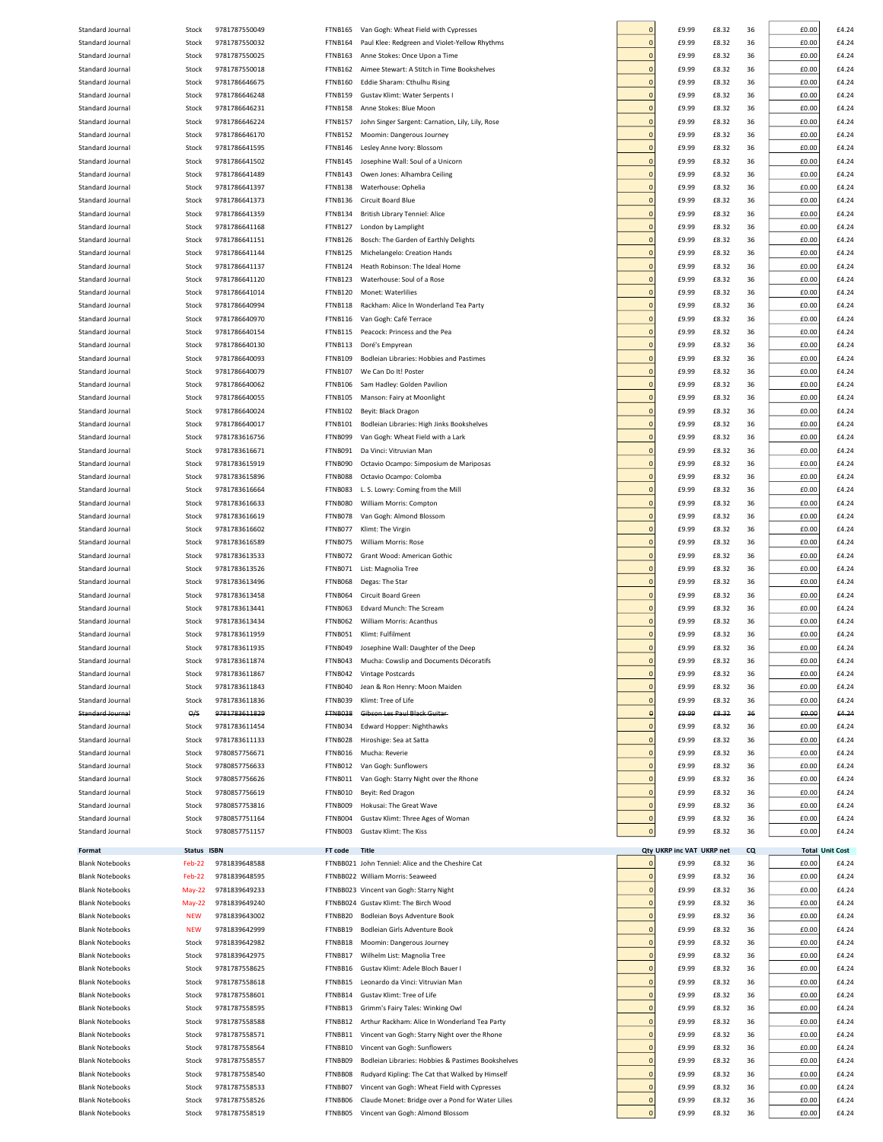| Standard Journal                                 |                |                                |                    |                                                                                       |                                |                            |                 |          |                |                        |
|--------------------------------------------------|----------------|--------------------------------|--------------------|---------------------------------------------------------------------------------------|--------------------------------|----------------------------|-----------------|----------|----------------|------------------------|
|                                                  | Stock          | 9781787550049                  | FTNB165            | Van Gogh: Wheat Field with Cypresses                                                  | $\Omega$                       | £9.99                      | £8.32           | 36       | £0.00          | £4.24                  |
| Standard Journal                                 | Stock          | 9781787550032                  | <b>FTNB164</b>     | Paul Klee: Redgreen and Violet-Yellow Rhythms                                         | $\overline{0}$                 | £9.99                      | £8.32           | 36       | £0.00          | £4.24                  |
| Standard Journal                                 | Stock          | 9781787550025                  | <b>FTNB163</b>     | Anne Stokes: Once Upon a Time                                                         | $\overline{0}$                 | £9.99                      | £8.32           | 36       | £0.00          | £4.24                  |
|                                                  |                |                                |                    | Aimee Stewart: A Stitch in Time Bookshelves                                           | $\overline{0}$                 | £9.99                      |                 |          |                | £4.24                  |
| Standard Journal                                 | Stock          | 9781787550018                  | FTNB162            |                                                                                       |                                |                            | £8.32           | 36       | £0.00          |                        |
| Standard Journal                                 | Stock          | 9781786646675                  | <b>FTNB160</b>     | Eddie Sharam: Cthulhu Rising                                                          | $\overline{0}$                 | £9.99                      | £8.32           | 36       | £0.00          | £4.24                  |
| Standard Journal                                 | Stock          | 9781786646248                  | FTNB159            | Gustav Klimt: Water Serpents I                                                        | $\overline{0}$                 | £9.99                      | £8.32           | 36       | £0.00          | £4.24                  |
| Standard Journal                                 | Stock          | 9781786646231                  | FTNB158            | Anne Stokes: Blue Moon                                                                | $\overline{0}$                 | £9.99                      | £8.32           | 36       | £0.00          | £4.24                  |
| Standard Journal                                 | Stock          | 9781786646224                  | <b>FTNB157</b>     | John Singer Sargent: Carnation, Lily, Lily, Rose                                      | $\overline{0}$                 | £9.99                      | £8.32           | 36       | £0.00          | £4.24                  |
|                                                  |                |                                |                    |                                                                                       |                                |                            |                 |          |                |                        |
| Standard Journal                                 | Stock          | 9781786646170                  | <b>FTNB152</b>     | Moomin: Dangerous Journey                                                             | $\overline{0}$                 | £9.99                      | £8.32           | 36       | £0.00          | £4.24                  |
| Standard Journal                                 | Stock          | 9781786641595                  | FTNB146            | Lesley Anne Ivory: Blossom                                                            | $\overline{0}$                 | £9.99                      | £8.32           | 36       | £0.00          | £4.24                  |
| Standard Journal                                 | Stock          | 9781786641502                  | <b>FTNB145</b>     | Josephine Wall: Soul of a Unicorn                                                     | $\overline{0}$                 | £9.99                      | £8.32           | 36       | £0.00          | £4.24                  |
| Standard Journal                                 | Stock          | 9781786641489                  | <b>FTNB143</b>     | Owen Jones: Alhambra Ceiling                                                          | $\overline{0}$                 | £9.99                      | £8.32           | 36       | £0.00          | £4.24                  |
|                                                  |                |                                |                    |                                                                                       |                                |                            |                 |          |                |                        |
| Standard Journal                                 | Stock          | 9781786641397                  | FTNB138            | Waterhouse: Ophelia                                                                   | $\overline{0}$                 | £9.99                      | £8.32           | 36       | £0.00          | £4.24                  |
| Standard Journal                                 | Stock          | 9781786641373                  | FTNB136            | Circuit Board Blue                                                                    | $\overline{0}$                 | £9.99                      | £8.32           | 36       | £0.00          | £4.24                  |
| Standard Journal                                 | Stock          | 9781786641359                  | FTNB134            | British Library Tenniel: Alice                                                        | $\overline{0}$                 | £9.99                      | £8.32           | 36       | £0.00          | £4.24                  |
|                                                  |                |                                |                    |                                                                                       | $\overline{0}$                 |                            |                 |          |                |                        |
| Standard Journal                                 | Stock          | 9781786641168                  | <b>FTNB127</b>     | London by Lamplight                                                                   |                                | £9.99                      | £8.32           | 36       | £0.00          | £4.24                  |
| Standard Journal                                 | Stock          | 9781786641151                  | FTNB126            | Bosch: The Garden of Earthly Delights                                                 | $\overline{0}$                 | £9.99                      | £8.32           | 36       | £0.00          | £4.24                  |
| Standard Journal                                 | Stock          | 9781786641144                  | FTNB125            | Michelangelo: Creation Hands                                                          | $\overline{0}$                 | £9.99                      | £8.32           | 36       | £0.00          | £4.24                  |
| Standard Journal                                 | Stock          | 9781786641137                  | FTNB124            | Heath Robinson: The Ideal Home                                                        | $\overline{0}$                 | £9.99                      | £8.32           | 36       | £0.00          | £4.24                  |
|                                                  |                |                                |                    |                                                                                       |                                |                            |                 |          |                |                        |
| Standard Journal                                 | Stock          | 9781786641120                  | <b>FTNB123</b>     | Waterhouse: Soul of a Rose                                                            | $\mathbf 0$                    | £9.99                      | £8.32           | 36       | £0.00          | £4.24                  |
| Standard Journal                                 | Stock          | 9781786641014                  | <b>FTNB120</b>     | Monet: Waterlilies                                                                    | $\overline{0}$                 | £9.99                      | £8.32           | 36       | £0.00          | £4.24                  |
| Standard Journal                                 | Stock          | 9781786640994                  | <b>FTNB118</b>     | Rackham: Alice In Wonderland Tea Party                                                | $\overline{0}$                 | £9.99                      | £8.32           | 36       | £0.00          | £4.24                  |
| Standard Journal                                 | Stock          | 9781786640970                  | FTNB116            | Van Gogh: Café Terrace                                                                | $\overline{0}$                 | £9.99                      | £8.32           | 36       | £0.00          | £4.24                  |
|                                                  |                |                                |                    |                                                                                       |                                |                            |                 |          |                |                        |
| Standard Journal                                 | Stock          | 9781786640154                  | <b>FTNB115</b>     | Peacock: Princess and the Pea                                                         | $\overline{0}$                 | £9.99                      | £8.32           | 36       | £0.00          | £4.24                  |
| Standard Journal                                 | Stock          | 9781786640130                  | FTNB113            | Doré's Empyrean                                                                       | $\overline{0}$                 | £9.99                      | £8.32           | 36       | £0.00          | £4.24                  |
| Standard Journal                                 | Stock          | 9781786640093                  | <b>FTNB109</b>     | Bodleian Libraries: Hobbies and Pastimes                                              | $\overline{0}$                 | £9.99                      | £8.32           | 36       | £0.00          | £4.24                  |
| Standard Journal                                 |                |                                |                    |                                                                                       | $\overline{0}$                 | £9.99                      |                 |          |                | £4.24                  |
|                                                  | Stock          | 9781786640079                  | <b>FTNB107</b>     | We Can Do It! Poster                                                                  |                                |                            | £8.32           | 36       | £0.00          |                        |
| Standard Journal                                 | Stock          | 9781786640062                  | FTNB106            | Sam Hadley: Golden Pavilion                                                           | $\overline{0}$                 | £9.99                      | £8.32           | 36       | £0.00          | £4.24                  |
| Standard Journal                                 | Stock          | 9781786640055                  | <b>FTNB105</b>     | Manson: Fairy at Moonlight                                                            | $\overline{0}$                 | £9.99                      | £8.32           | 36       | £0.00          | £4.24                  |
| Standard Journal                                 | Stock          | 9781786640024                  | <b>FTNB102</b>     | Beyit: Black Dragon                                                                   | $\overline{0}$                 | £9.99                      | £8.32           | 36       | £0.00          | £4.24                  |
|                                                  |                |                                |                    |                                                                                       |                                |                            |                 |          |                |                        |
| Standard Journal                                 | Stock          | 9781786640017                  | <b>FTNB101</b>     | Bodleian Libraries: High Jinks Bookshelves                                            | $\overline{0}$                 | £9.99                      | £8.32           | 36       | £0.00          | £4.24                  |
| Standard Journal                                 | Stock          | 9781783616756                  | FTNB099            | Van Gogh: Wheat Field with a Lark                                                     | $\overline{0}$                 | £9.99                      | £8.32           | 36       | £0.00          | £4.24                  |
| Standard Journal                                 | Stock          | 9781783616671                  | FTNB091            | Da Vinci: Vitruvian Man                                                               | $\overline{0}$                 | £9.99                      | £8.32           | 36       | £0.00          | £4.24                  |
| Standard Journal                                 | Stock          | 9781783615919                  | FTNB090            | Octavio Ocampo: Simposium de Mariposas                                                | $\overline{0}$                 | £9.99                      | £8.32           | 36       | £0.00          | £4.24                  |
|                                                  |                |                                |                    |                                                                                       |                                |                            |                 |          |                |                        |
| Standard Journal                                 | Stock          | 9781783615896                  | FTNB088            | Octavio Ocampo: Colomba                                                               | $\overline{0}$                 | £9.99                      | £8.32           | 36       | £0.00          | £4.24                  |
| Standard Journal                                 | Stock          | 9781783616664                  | FTNB083            | L. S. Lowry: Coming from the Mill                                                     | $\overline{0}$                 | £9.99                      | £8.32           | 36       | £0.00          | £4.24                  |
| Standard Journal                                 | Stock          | 9781783616633                  | FTNB080            | William Morris: Compton                                                               | $\overline{0}$                 | £9.99                      | £8.32           | 36       | £0.00          | £4.24                  |
| Standard Journal                                 |                |                                | FTNB078            |                                                                                       | $\overline{0}$                 | £9.99                      | £8.32           | 36       |                | £4.24                  |
|                                                  | Stock          | 9781783616619                  |                    | Van Gogh: Almond Blossom                                                              |                                |                            |                 |          | £0.00          |                        |
| Standard Journal                                 | Stock          | 9781783616602                  | FTNB077            | Klimt: The Virgin                                                                     | $\overline{0}$                 | £9.99                      | £8.32           | 36       | £0.00          | £4.24                  |
| Standard Journal                                 | Stock          | 9781783616589                  | FTNB075            | William Morris: Rose                                                                  | $\overline{0}$                 | £9.99                      | £8.32           | 36       | £0.00          | £4.24                  |
| Standard Journal                                 | Stock          | 9781783613533                  | FTNB072            | Grant Wood: American Gothic                                                           | $\overline{0}$                 | £9.99                      | £8.32           | 36       | £0.00          | £4.24                  |
|                                                  |                |                                |                    |                                                                                       |                                |                            |                 |          |                |                        |
| Standard Journal                                 | Stock          | 9781783613526                  | FTNB071            | List: Magnolia Tree                                                                   | $\overline{0}$                 | £9.99                      | £8.32           | 36       | £0.00          | £4.24                  |
| Standard Journal                                 | Stock          | 9781783613496                  | FTNB068            | Degas: The Star                                                                       | $\overline{0}$                 | £9.99                      | £8.32           | 36       | £0.00          | £4.24                  |
| Standard Journal                                 | Stock          | 9781783613458                  | FTNB064            | Circuit Board Green                                                                   | $\overline{0}$                 | £9.99                      | £8.32           | 36       | £0.00          | £4.24                  |
| Standard Journal                                 |                | 9781783613441                  | FTNB063            | Edvard Munch: The Scream                                                              | $\mathbf 0$                    | £9.99                      | £8.32           | 36       | £0.00          | £4.24                  |
|                                                  | Stock          |                                |                    |                                                                                       |                                |                            |                 |          |                |                        |
| Standard Journal                                 | Stock          | 9781783613434                  | <b>FTNB062</b>     | William Morris: Acanthus                                                              | $\mathbf 0$                    | £9.99                      | £8.32           | 36       | £0.00          | £4.24                  |
| Standard Journal                                 | Stock          | 9781783611959                  |                    | Klimt: Fulfilment                                                                     |                                |                            |                 |          |                | £4.24                  |
|                                                  |                |                                | FTNB051            |                                                                                       | $\mathbf 0$                    | £9.99                      | £8.32           | 36       | £0.00          |                        |
|                                                  |                |                                |                    |                                                                                       |                                |                            |                 |          |                |                        |
| Standard Journal                                 | Stock          | 9781783611935                  | FTNB049            | Josephine Wall: Daughter of the Deep                                                  | $\overline{0}$                 | £9.99                      | £8.32           | 36       | £0.00          | £4.24                  |
| Standard Journal                                 | Stock          | 9781783611874                  | FTNB043            | Mucha: Cowslin and Documents Décoratifs                                               |                                | £9.99                      | £8.32           | 36       | £0.00          | £4.24                  |
| Standard Journal                                 | Stock          | 9781783611867                  |                    | FTNB042 Vintage Postcards                                                             | $\overline{0}$                 | £9.99                      | £8.32           | 36       | £0.00          | £4.24                  |
| Standard Journal                                 | Stock          | 9781783611843                  | FTNB040            | Jean & Ron Henry: Moon Maiden                                                         | $\overline{0}$                 | £9.99                      | £8.32           | 36       | £0.00          | £4.24                  |
|                                                  |                |                                |                    |                                                                                       |                                |                            |                 |          |                |                        |
| Standard Journal                                 | Stock          | 9781783611836                  | FTNB039            | Klimt: Tree of Life                                                                   | $\overline{0}$                 | £9.99                      | £8.32           | 36       | £0.00          | £4.24                  |
| <b>Standard Journal</b>                          | O/S            | 9781783611829                  | ETNR038            | Gibson Les Paul Black Guitar-                                                         | $\Omega$                       | £9.99                      | £8.32           | 36       | £0.00          | £4.24                  |
| Standard Journal                                 | Stock          | 9781783611454                  | FTNB034            | Edward Hopper: Nighthawks                                                             | $\overline{0}$                 | £9.99                      | £8.32           | 36       | £0.00          | £4.24                  |
| Standard Journal                                 | Stock          | 9781783611133                  | FTNB028            | Hiroshige: Sea at Satta                                                               | $\overline{0}$                 | £9.99                      | £8.32           | 36       | £0.00          | £4.24                  |
|                                                  |                |                                |                    |                                                                                       |                                |                            |                 |          |                |                        |
| Standard Journal                                 | Stock          | 9780857756671                  | FTNB016            | Mucha: Reverie                                                                        | $\circ$                        | £9.99                      | £8.32           | 36       | £0.00          | £4.24                  |
| Standard Journal                                 | Stock          | 9780857756633                  | FTNB012            | Van Gogh: Sunflowers                                                                  | $\overline{0}$                 | £9.99                      | £8.32           | 36       | £0.00          | £4.24                  |
| Standard Journal                                 | Stock          | 9780857756626                  | FTNB011            | Van Gogh: Starry Night over the Rhone                                                 | $\mathbf 0$                    | £9.99                      | £8.32           | 36       | £0.00          | £4.24                  |
| Standard Journal                                 | Stock          | 9780857756619                  | FTNB010            | Beyit: Red Dragon                                                                     | $\mathbf{0}$                   | £9.99                      | £8.32           | 36       | £0.00          | £4.24                  |
| Standard Journal                                 | Stock          | 9780857753816                  | FTNB009            | Hokusai: The Great Wave                                                               | $\overline{0}$                 | £9.99                      | £8.32           | 36       | £0.00          | £4.24                  |
|                                                  |                |                                |                    |                                                                                       |                                |                            |                 |          |                |                        |
| Standard Journal                                 | Stock          | 9780857751164                  | FTNB004            | Gustav Klimt: Three Ages of Woman                                                     | $\overline{0}$                 | £9.99                      | £8.32           | 36       | £0.00          | £4.24                  |
| Standard Journal                                 | Stock          | 9780857751157                  | FTNB003            | Gustav Klimt: The Kiss                                                                | $\mathbf 0$                    | £9.99                      | £8.32           | 36       | £0.00          | £4.24                  |
|                                                  |                |                                |                    |                                                                                       |                                |                            |                 |          |                |                        |
| Format                                           | <b>Status</b>  | <b>ISBN</b>                    | FT code            | <b>Title</b>                                                                          |                                | <b>Qty UKRP</b><br>inc VAT | <b>UKRP</b> net | CQ       |                | <b>Total Unit Cost</b> |
| <b>Blank Notebooks</b>                           | Feb-22         | 9781839648588                  |                    | FTNBB021 John Tenniel: Alice and the Cheshire Cat                                     | $\mathbf 0$                    | £9.99                      | £8.32           | 36       | £0.00          | £4.24                  |
| <b>Blank Notebooks</b>                           | Feb-22         | 9781839648595                  |                    | FTNBB022 William Morris: Seaweed                                                      | $\overline{0}$                 | £9.99                      | £8.32           | 36       | £0.00          | £4.24                  |
| <b>Blank Notebooks</b>                           |                | 9781839649233                  |                    |                                                                                       | $\overline{0}$                 | £9.99                      | £8.32           | 36       | £0.00          | £4.24                  |
|                                                  | May-22         |                                |                    | FTNBB023 Vincent van Gogh: Starry Night                                               |                                |                            |                 |          |                |                        |
| <b>Blank Notebooks</b>                           | May-22         | 9781839649240                  |                    | FTNBB024 Gustav Klimt: The Birch Wood                                                 | $\overline{0}$                 | £9.99                      | £8.32           | 36       | £0.00          | £4.24                  |
| <b>Blank Notebooks</b>                           | <b>NEW</b>     | 9781839643002                  | FTNBB20            | Bodleian Boys Adventure Book                                                          | $\overline{0}$                 | £9.99                      | £8.32           | 36       | £0.00          | £4.24                  |
| <b>Blank Notebooks</b>                           | <b>NEW</b>     | 9781839642999                  | FTNBB19            | Bodleian Girls Adventure Book                                                         | $\overline{0}$                 | £9.99                      | £8.32           | 36       | £0.00          | £4.24                  |
| <b>Blank Notebooks</b>                           | Stock          | 9781839642982                  | FTNBB18            | Moomin: Dangerous Journey                                                             | $\overline{0}$                 | £9.99                      | £8.32           | 36       | £0.00          | £4.24                  |
|                                                  |                |                                |                    |                                                                                       |                                |                            |                 |          |                |                        |
| <b>Blank Notebooks</b>                           | Stock          | 9781839642975                  | FTNBB17            | Wilhelm List: Magnolia Tree                                                           | $\overline{0}$                 | £9.99                      | £8.32           | 36       | £0.00          | £4.24                  |
| <b>Blank Notebooks</b>                           | Stock          | 9781787558625                  | FTNBB16            | Gustav Klimt: Adele Bloch Bauer I                                                     | $\overline{0}$                 | £9.99                      | £8.32           | 36       | £0.00          | £4.24                  |
| <b>Blank Notebooks</b>                           | Stock          | 9781787558618                  | FTNBB15            | Leonardo da Vinci: Vitruvian Man                                                      | $\overline{0}$                 | £9.99                      | £8.32           | 36       | £0.00          | £4.24                  |
|                                                  |                |                                |                    |                                                                                       |                                |                            |                 |          |                |                        |
| <b>Blank Notebooks</b>                           | Stock          | 9781787558601                  | FTNBB14            | Gustav Klimt: Tree of Life                                                            | $\overline{0}$                 | £9.99                      | £8.32           | 36       | £0.00          | £4.24                  |
| <b>Blank Notebooks</b>                           | Stock          | 9781787558595                  | FTNBB13            | Grimm's Fairy Tales: Winking Owl                                                      | $\overline{0}$                 | £9.99                      | £8.32           | 36       | £0.00          | £4.24                  |
| <b>Blank Notebooks</b>                           | Stock          | 9781787558588                  | FTNBB12            | Arthur Rackham: Alice In Wonderland Tea Party                                         | $\mathbf 0$                    | £9.99                      | £8.32           | 36       | £0.00          | £4.24                  |
| <b>Blank Notebooks</b>                           | Stock          | 9781787558571                  | FTNBB11            | Vincent van Gogh: Starry Night over the Rhone                                         | $\mathbf{0}$                   | £9.99                      | £8.32           | 36       | £0.00          | £4.24                  |
|                                                  |                |                                |                    |                                                                                       |                                |                            |                 |          |                |                        |
| <b>Blank Notebooks</b>                           | Stock          | 9781787558564                  | FTNBB10            | Vincent van Gogh: Sunflowers                                                          | $\overline{0}$                 | £9.99                      | £8.32           | 36       | £0.00          | £4.24                  |
| <b>Blank Notebooks</b>                           | Stock          | 9781787558557                  | FTNBB09            | Bodleian Libraries: Hobbies & Pastimes Bookshelves                                    | $\overline{0}$                 | £9.99                      | £8.32           | 36       | £0.00          | £4.24                  |
| <b>Blank Notebooks</b>                           | Stock          | 9781787558540                  | FTNBB08            | Rudyard Kipling: The Cat that Walked by Himself                                       | $\overline{0}$                 | £9.99                      | £8.32           | 36       | £0.00          | £4.24                  |
| <b>Blank Notebooks</b>                           | Stock          | 9781787558533                  | FTNBB07            | Vincent van Gogh: Wheat Field with Cypresses                                          | $\overline{0}$                 | £9.99                      | £8.32           | 36       | £0.00          | £4.24                  |
|                                                  |                |                                |                    |                                                                                       |                                |                            |                 |          |                |                        |
| <b>Blank Notebooks</b><br><b>Blank Notebooks</b> | Stock<br>Stock | 9781787558526<br>9781787558519 | FTNBB06<br>FTNBB05 | Claude Monet: Bridge over a Pond for Water Lilies<br>Vincent van Gogh: Almond Blossom | $\mathbf{0}$<br>$\overline{0}$ | £9.99<br>£9.99             | £8.32<br>£8.32  | 36<br>36 | £0.00<br>£0.00 | £4.24<br>£4.24         |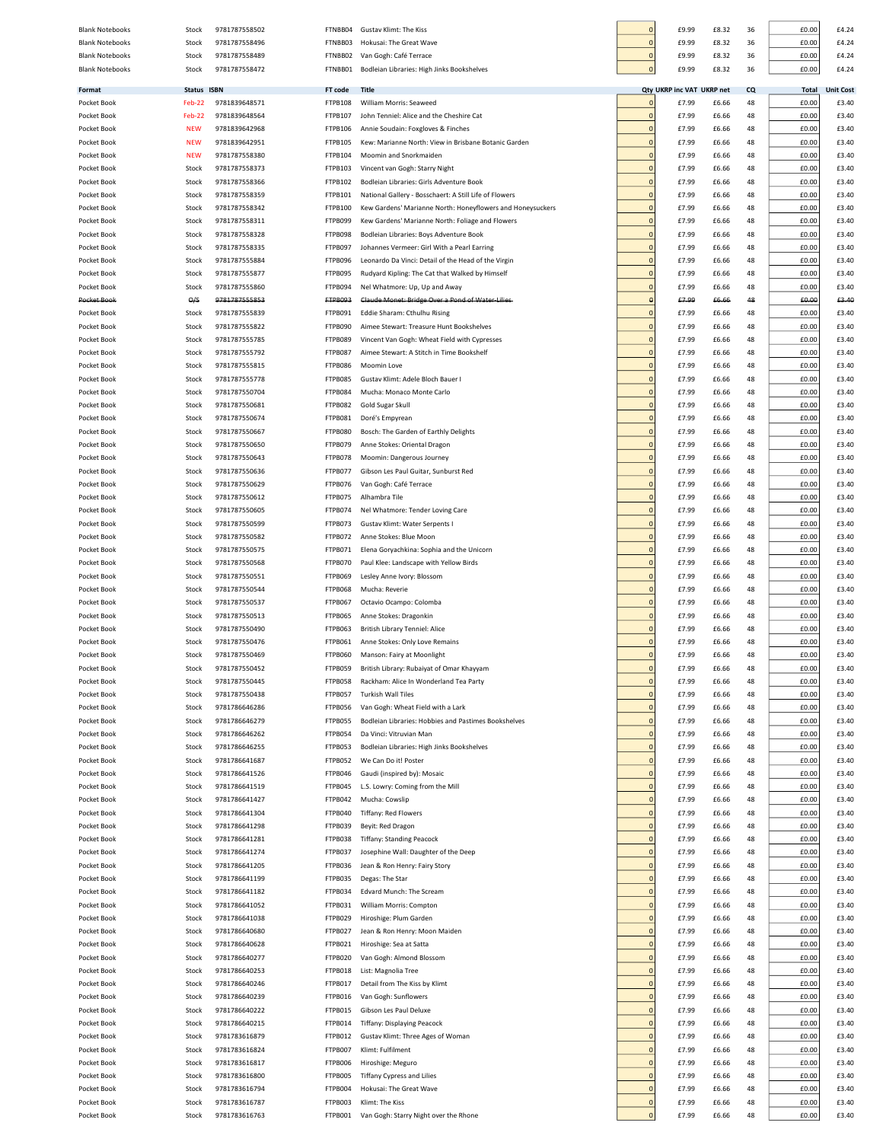| <b>Blank Notebooks</b> | Stock         | 9781787558502 | FTNBB04        | Gustav Klimt: The Kiss                                     |                | £9.99                     | £8.32 | 36        | £0.00 | £4.24            |
|------------------------|---------------|---------------|----------------|------------------------------------------------------------|----------------|---------------------------|-------|-----------|-------|------------------|
| <b>Blank Notebooks</b> | Stock         | 9781787558496 | FTNBB03        | Hokusai: The Great Wave                                    |                | £9.99                     | £8.32 | 36        | £0.00 | £4.24            |
| <b>Blank Notebooks</b> | Stock         | 9781787558489 | FTNBB02        | Van Gogh: Café Terrace                                     | C              | £9.99                     | £8.32 | 36        | £0.00 | £4.24            |
| <b>Blank Notebooks</b> | Stock         | 9781787558472 | FTNBB01        | Bodleian Libraries: High Jinks Bookshelves                 | C              | £9.99                     | £8.32 | 36        | £0.00 | £4.24            |
|                        |               |               |                |                                                            |                |                           |       |           |       |                  |
| Format                 | <b>Status</b> | <b>ISBN</b>   | FT code        | <b>Title</b>                                               |                | Qty UKRP inc VAT UKRP net |       | <b>CQ</b> | Total | <b>Unit Cost</b> |
| Pocket Book            | <b>Feb-22</b> | 9781839648571 | FTPB108        | William Morris: Seaweed                                    | C              | £7.99                     | £6.66 | 48        | £0.00 | £3.40            |
| Pocket Book            | Feb-22        | 9781839648564 | FTPB107        | John Tenniel: Alice and the Cheshire Cat                   | $\circ$        | £7.99                     | £6.66 | 48        | £0.00 | £3.40            |
| Pocket Book            | <b>NEW</b>    | 9781839642968 | FTPB106        | Annie Soudain: Foxgloves & Finches                         |                | £7.99                     | £6.66 | 48        | £0.00 | £3.40            |
| Pocket Book            | <b>NEW</b>    | 9781839642951 | FTPB105        | Kew: Marianne North: View in Brisbane Botanic Garden       | C              | £7.99                     | £6.66 | 48        | £0.00 | £3.40            |
| Pocket Book            | <b>NEW</b>    | 9781787558380 | FTPB104        | Moomin and Snorkmaiden                                     |                | £7.99                     | £6.66 | 48        | £0.00 | £3.40            |
| Pocket Book            | Stock         | 9781787558373 | FTPB103        | Vincent van Gogh: Starry Night                             | C              | £7.99                     | £6.66 | 48        | £0.00 | £3.40            |
| Pocket Book            | Stock         | 9781787558366 | FTPB102        | Bodleian Libraries: Girls Adventure Book                   | $\mathbf{0}$   | £7.99                     | £6.66 | 48        | £0.00 | £3.40            |
| Pocket Book            | Stock         | 9781787558359 | FTPB101        | National Gallery - Bosschaert: A Still Life of Flowers     | $\mathbf{C}$   | £7.99                     | £6.66 | 48        | £0.00 | £3.40            |
| Pocket Book            | Stock         | 9781787558342 | FTPB100        | Kew Gardens' Marianne North: Honeyflowers and Honeysuckers | $\mathbf{C}$   | £7.99                     | £6.66 | 48        | £0.00 | £3.40            |
| Pocket Book            | Stock         | 9781787558311 | FTPB099        | Kew Gardens' Marianne North: Foliage and Flowers           | $\mathbf{C}$   | £7.99                     | £6.66 | 48        | £0.00 | £3.40            |
| Pocket Book            | Stock         | 9781787558328 | FTPB098        | Bodleian Libraries: Boys Adventure Book                    | $\sqrt{ }$     | £7.99                     | £6.66 | 48        | £0.00 | £3.40            |
|                        |               | 9781787558335 | FTPB097        | Johannes Vermeer: Girl With a Pearl Earring                | $\Omega$       | £7.99                     |       | 48        |       | £3.40            |
| Pocket Book            | Stock         |               |                |                                                            |                |                           | £6.66 |           | £0.00 |                  |
| Pocket Book            | Stock         | 9781787555884 | FTPB096        | Leonardo Da Vinci: Detail of the Head of the Virgin        | $\mathfrak{c}$ | £7.99                     | £6.66 | 48        | £0.00 | £3.40            |
| Pocket Book            | Stock         | 9781787555877 | FTPB095        | Rudyard Kipling: The Cat that Walked by Himself            | $\mathbf{C}$   | £7.99                     | £6.66 | 48        | £0.00 | £3.40            |
| Pocket Book            | Stock         | 9781787555860 | FTPB094        | Nel Whatmore: Up, Up and Away                              | $\sqrt{ }$     | £7.99                     | £6.66 | 48        | £0.00 | £3.40            |
| Pocket Book            | $\Theta$ /S   | 9781787555853 | <b>FTPB093</b> | Claude Monet: Bridge Over a Pond of Water Lilies           |                | £7.99                     | £6.66 | 48        | £0.00 | £3.40            |
| Pocket Book            | Stock         | 9781787555839 | FTPB091        | Eddie Sharam: Cthulhu Rising                               | $\epsilon$     | £7.99                     | £6.66 | 48        | £0.00 | £3.40            |
| Pocket Book            | Stock         | 9781787555822 | FTPB090        | Aimee Stewart: Treasure Hunt Bookshelves                   | C              | £7.99                     | £6.66 | 48        | £0.00 | £3.40            |
| Pocket Book            | Stock         | 9781787555785 | FTPB089        | Vincent Van Gogh: Wheat Field with Cypresses               | $\mathbf{0}$   | £7.99                     | £6.66 | 48        | £0.00 | £3.40            |
| Pocket Book            | Stock         | 9781787555792 | FTPB087        | Aimee Stewart: A Stitch in Time Bookshelf                  | $\sqrt{ }$     | £7.99                     | £6.66 | 48        | £0.00 | £3.40            |
| Pocket Book            | Stock         | 9781787555815 | FTPB086        | Moomin Love                                                | $\sqrt{ }$     | £7.99                     | £6.66 | 48        | £0.00 | £3.40            |
| Pocket Book            | Stock         | 9781787555778 | FTPB085        | Gustav Klimt: Adele Bloch Bauer I                          | $\sqrt{ }$     | £7.99                     | £6.66 | 48        | £0.00 | £3.40            |
| Pocket Book            | Stock         | 9781787550704 | FTPB084        | Mucha: Monaco Monte Carlo                                  | $\Omega$       | £7.99                     | £6.66 | 48        | £0.00 | £3.40            |
| Pocket Book            | Stock         | 9781787550681 | FTPB082        | Gold Sugar Skull                                           | $\Omega$       | £7.99                     | £6.66 | 48        | £0.00 | £3.40            |
| Pocket Book            | Stock         | 9781787550674 | FTPB081        | Doré's Empyrean                                            | $\Omega$       | £7.99                     | £6.66 | 48        | £0.00 | £3.40            |
| Pocket Book            | Stock         | 9781787550667 | FTPB080        | Bosch: The Garden of Earthly Delights                      | $\sqrt{ }$     | £7.99                     | £6.66 | 48        | £0.00 | £3.40            |
|                        |               |               |                |                                                            | $\mathbf 0$    |                           |       |           |       | £3.40            |
| Pocket Book            | Stock         | 9781787550650 | FTPB079        | Anne Stokes: Oriental Dragon                               |                | £7.99                     | £6.66 | 48        | £0.00 |                  |
| Pocket Book            | Stock         | 9781787550643 | FTPB078        | Moomin: Dangerous Journey                                  |                | £7.99                     | £6.66 | 48        | £0.00 | £3.40            |
| Pocket Book            | Stock         | 9781787550636 | FTPB077        | Gibson Les Paul Guitar, Sunburst Red                       | C              | £7.99                     | £6.66 | 48        | £0.00 | £3.40            |
| Pocket Book            | Stock         | 9781787550629 | FTPB076        | Van Gogh: Café Terrace                                     | C              | £7.99                     | £6.66 | 48        | £0.00 | £3.40            |
| Pocket Book            | Stock         | 9781787550612 | FTPB075        | Alhambra Tile                                              | C              | £7.99                     | £6.66 | 48        | £0.00 | £3.40            |
| Pocket Book            | Stock         | 9781787550605 | FTPB074        | Nel Whatmore: Tender Loving Care                           | $\sqrt{ }$     | £7.99                     | £6.66 | 48        | £0.00 | £3.40            |
| Pocket Book            | Stock         | 9781787550599 | FTPB073        | Gustav Klimt: Water Serpents I                             | $\overline{0}$ | £7.99                     | £6.66 | 48        | £0.00 | £3.40            |
| Pocket Book            | Stock         | 9781787550582 | FTPB072        | Anne Stokes: Blue Moon                                     | $\mathbf{0}$   | £7.99                     | £6.66 | 48        | £0.00 | £3.40            |
| Pocket Book            | Stock         | 9781787550575 | FTPB071        | Elena Goryachkina: Sophia and the Unicorn                  | $\mathbf{C}$   | £7.99                     | £6.66 | 48        | £0.00 | £3.40            |
| Pocket Book            | Stock         | 9781787550568 | FTPB070        | Paul Klee: Landscape with Yellow Birds                     | $\mathbf{0}$   | £7.99                     | £6.66 | 48        | £0.00 | £3.40            |
| Pocket Book            | Stock         | 9781787550551 | FTPB069        | Lesley Anne Ivory: Blossom                                 | $\Omega$       | £7.99                     | £6.66 | 48        | £0.00 | £3.40            |
| Pocket Book            | Stock         | 9781787550544 | FTPB068        | Mucha: Reverie                                             | $\mathsf{C}$   | £7.99                     | £6.66 | 48        | £0.00 | £3.40            |
| Pocket Book            | Stock         | 9781787550537 | FTPB067        | Octavio Ocampo: Colomba                                    | $\mathbf{C}$   | £7.99                     | £6.66 | 48        | £0.00 | £3.40            |
| Pocket Book            | Stock         | 9781787550513 | FTPB065        | Anne Stokes: Dragonkin                                     | $\mathsf{C}$   | £7.99                     | £6.66 | 48        | £0.00 | £3.40            |
| Pocket Book            | Stock         | 9781787550490 | FTPB063        | British Library Tenniel: Alice                             |                | £7.99                     | £6.66 | 48        | £0.00 | £3.40            |
| Pocket Book            | Stock         | 9781787550476 | FTPB061        | Anne Stokes: Only Love Remains                             |                | £7.99                     | £6.66 | 48        | £0.00 | £3.40            |
| Pocket Book            | Stock         | 9781787550469 | FTPB060        | Manson: Fairy at Moonlight                                 | $\epsilon$     | £7.99                     | £6.66 | 48        | £0.00 | £3.40            |
|                        |               |               |                |                                                            |                |                           |       |           |       |                  |
| Pocket Bool            | <b>STOCK</b>  | 9781787550452 | FTPB059        | British Library: Rubaiyat of Omar Khayyam                  |                | £7.95                     | £b.bb | 48        | £0.00 | £3.40            |
| Pocket Book            | Stock         | 9781787550445 | FTPB058        | Rackham: Alice In Wonderland Tea Party                     | $\sqrt{ }$     | £7.99                     | £6.66 | 48        | £0.00 | £3.40            |
| Pocket Book            | Stock         | 9781787550438 | FTPB057        | <b>Turkish Wall Tiles</b>                                  | $\Omega$       | £7.99                     | £6.66 | 48        | £0.00 | £3.40            |
| Pocket Book            | Stock         | 9781786646286 | FTPB056        | Van Gogh: Wheat Field with a Lark                          | $\sqrt{ }$     | £7.99                     | £6.66 | 48        | £0.00 | £3.40            |
| Pocket Book            | Stock         | 9781786646279 | FTPB055        | Bodleian Libraries: Hobbies and Pastimes Bookshelves       | $\Omega$       | £7.99                     | £6.66 | 48        | £0.00 | £3.40            |
| Pocket Book            | Stock         | 9781786646262 | FTPB054        | Da Vinci: Vitruvian Man                                    | $\Omega$       | £7.99                     | £6.66 | 48        | £0.00 | £3.40            |
| Pocket Book            | Stock         | 9781786646255 | FTPB053        | Bodleian Libraries: High Jinks Bookshelves                 | $\mathbf 0$    | £7.99                     | £6.66 | 48        | £0.00 | £3.40            |
| Pocket Book            | Stock         | 9781786641687 | FTPB052        | We Can Do it! Poster                                       | $\mathbf 0$    | £7.99                     | £6.66 | 48        | £0.00 | £3.40            |
| Pocket Book            | Stock         | 9781786641526 | FTPB046        | Gaudi (inspired by): Mosaic                                | $\mathbf 0$    | £7.99                     | £6.66 | 48        | £0.00 | £3.40            |
| Pocket Book            | Stock         | 9781786641519 | FTPB045        | L.S. Lowry: Coming from the Mill                           |                | £7.99                     | £6.66 | 48        | £0.00 | £3.40            |
| Pocket Book            | Stock         | 9781786641427 | FTPB042        | Mucha: Cowslip                                             | C              | £7.99                     | £6.66 | 48        | £0.00 | £3.40            |
| Pocket Book            | Stock         | 9781786641304 | FTPB040        | Tiffany: Red Flowers                                       | C              | £7.99                     | £6.66 | 48        | £0.00 | £3.40            |
| Pocket Book            | Stock         | 9781786641298 | FTPB039        | Beyit: Red Dragon                                          | C              | £7.99                     | £6.66 | 48        | £0.00 | £3.40            |
| Pocket Book            | Stock         | 9781786641281 | FTPB038        | <b>Tiffany: Standing Peacock</b>                           | $\Omega$       | £7.99                     | £6.66 | 48        | £0.00 | £3.40            |
| Pocket Book            | Stock         | 9781786641274 | FTPB037        | Josephine Wall: Daughter of the Deep                       | $\overline{0}$ | £7.99                     | £6.66 | 48        | £0.00 | £3.40            |
| Pocket Book            | Stock         | 9781786641205 | FTPB036        | Jean & Ron Henry: Fairy Story                              | $\mathbf{C}$   | £7.99                     | £6.66 | 48        | £0.00 | £3.40            |
| Pocket Book            | Stock         | 9781786641199 | FTPB035        | Degas: The Star                                            | $\overline{0}$ | £7.99                     | £6.66 | 48        | £0.00 | £3.40            |
| Pocket Book            | Stock         | 9781786641182 | FTPB034        | Edvard Munch: The Scream                                   | $\mathbf{C}$   | £7.99                     | £6.66 | 48        | £0.00 | £3.40            |
|                        | Stock         | 9781786641052 | FTPB031        | William Morris: Compton                                    | $\Omega$       | £7.99                     |       | 48        | £0.00 | £3.40            |
| Pocket Book            |               |               |                |                                                            |                |                           | £6.66 |           |       |                  |
| Pocket Book            | Stock         | 9781786641038 | FTPB029        | Hiroshige: Plum Garden                                     | $\mathsf{C}$   | £7.99                     | £6.66 | 48        | £0.00 | £3.40            |
| Pocket Book            | Stock         | 9781786640680 | FTPB027        | Jean & Ron Henry: Moon Maiden                              | $\mathbf{C}$   | £7.99                     | £6.66 | 48        | £0.00 | £3.40            |
| Pocket Book            | Stock         | 9781786640628 | FTPB021        | Hiroshige: Sea at Satta                                    | $\epsilon$     | £7.99                     | £6.66 | 48        | £0.00 | £3.40            |
| Pocket Book            | Stock         | 9781786640277 | FTPB020        | Van Gogh: Almond Blossom                                   | C              | £7.99                     | £6.66 | 48        | £0.00 | £3.40            |
| Pocket Book            | Stock         | 9781786640253 | FTPB018        | List: Magnolia Tree                                        | $\epsilon$     | £7.99                     | £6.66 | 48        | £0.00 | £3.40            |
| Pocket Book            | Stock         | 9781786640246 | FTPB017        | Detail from The Kiss by Klimt                              | C              | £7.99                     | £6.66 | 48        | £0.00 | £3.40            |
| Pocket Book            | Stock         | 9781786640239 | FTPB016        | Van Gogh: Sunflowers                                       | $\Omega$       | £7.99                     | £6.66 | 48        | £0.00 | £3.40            |
| Pocket Book            | Stock         | 9781786640222 | FTPB015        | Gibson Les Paul Deluxe                                     | $\sqrt{ }$     | £7.99                     | £6.66 | 48        | £0.00 | £3.40            |
| Pocket Book            | Stock         | 9781786640215 | FTPB014        | <b>Tiffany: Displaying Peacock</b>                         | $\sqrt{ }$     | £7.99                     | £6.66 | 48        | £0.00 | £3.40            |
| Pocket Book            | Stock         | 9781783616879 | FTPB012        | Gustav Klimt: Three Ages of Woman                          | O              | £7.99                     | £6.66 | 48        | £0.00 | £3.40            |
| Pocket Book            | Stock         | 9781783616824 | FTPB007        | Klimt: Fulfilment                                          | $\Omega$       | £7.99                     | £6.66 | 48        | £0.00 | £3.40            |
| Pocket Book            | Stock         | 9781783616817 | FTPB006        | Hiroshige: Meguro                                          | $\Omega$       | £7.99                     | £6.66 | 48        | £0.00 | £3.40            |
| Pocket Book            | Stock         | 9781783616800 | FTPB005        | Tiffany Cypress and Lilies                                 | $\mathbf 0$    | £7.99                     | £6.66 | 48        | £0.00 | £3.40            |
| Pocket Book            | Stock         | 9781783616794 | FTPB004        | Hokusai: The Great Wave                                    | $\mathbf 0$    | £7.99                     | £6.66 | 48        | £0.00 | £3.40            |
| Pocket Book            | Stock         | 9781783616787 | FTPB003        | Klimt: The Kiss                                            | $\mathbf 0$    | £7.99                     | £6.66 | 48        | £0.00 | £3.40            |
| Pocket Book            | Stock         | 9781783616763 | FTPB001        | Van Gogh: Starry Night over the Rhone                      |                | £7.99                     | £6.66 | 48        | £0.00 | £3.40            |
|                        |               |               |                |                                                            |                |                           |       |           |       |                  |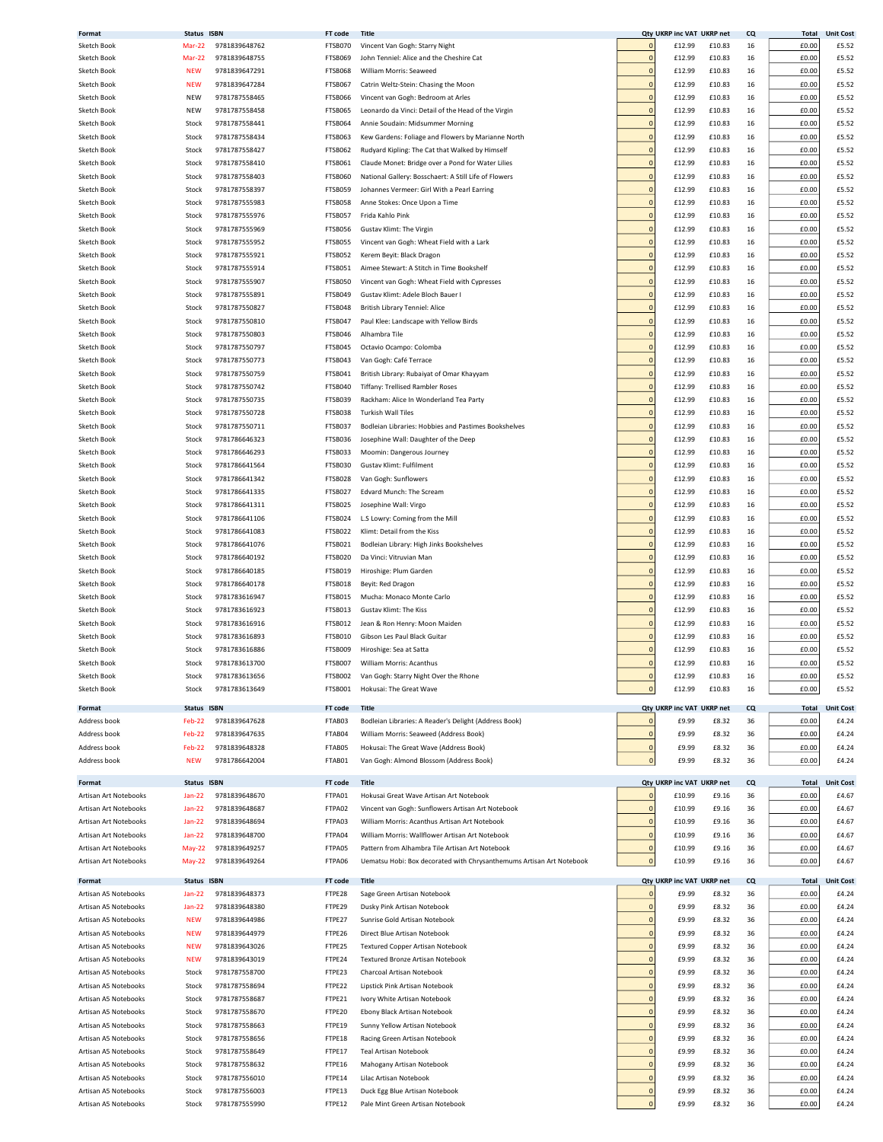| Format                | Status ISBN   |               | FT code        | Title                                                                |                | Qty UKRP inc VAT UKRP net |        | <b>CQ</b> | Total        | <b>Unit Cost</b> |
|-----------------------|---------------|---------------|----------------|----------------------------------------------------------------------|----------------|---------------------------|--------|-----------|--------------|------------------|
| Sketch Book           | Mar-22        | 9781839648762 | FTSB070        | Vincent Van Gogh: Starry Night                                       | 0              | £12.99                    | £10.83 | 16        | £0.00        | £5.52            |
| Sketch Book           | <b>Mar-22</b> | 9781839648755 | FTSB069        | John Tenniel: Alice and the Cheshire Cat                             | 0              | £12.99                    | £10.83 | 16        | £0.00        | £5.52            |
|                       |               |               |                |                                                                      |                |                           |        |           |              |                  |
| Sketch Book           | <b>NEW</b>    | 9781839647291 | FTSB068        | William Morris: Seaweed                                              | $\overline{0}$ | £12.99                    | £10.83 | 16        | £0.00        | £5.52            |
| Sketch Book           | <b>NEW</b>    | 9781839647284 | FTSB067        | Catrin Weltz-Stein: Chasing the Moon                                 | $\mathbf 0$    | £12.99                    | £10.83 | 16        | £0.00        | £5.52            |
|                       |               |               |                |                                                                      | C              |                           |        |           |              |                  |
| Sketch Book           | NEW           | 9781787558465 | FTSB066        | Vincent van Gogh: Bedroom at Arles                                   |                | £12.99                    | £10.83 | 16        | £0.00        | £5.52            |
| Sketch Book           | <b>NEW</b>    | 9781787558458 | FTSB065        | Leonardo da Vinci: Detail of the Head of the Virgin                  | $\mathbf 0$    | £12.99                    | £10.83 | 16        | £0.00        | £5.52            |
| Sketch Book           | Stock         | 9781787558441 | FTSB064        | Annie Soudain: Midsummer Morning                                     | $\overline{0}$ | £12.99                    | £10.83 | 16        | £0.00        | £5.52            |
|                       |               |               |                |                                                                      |                |                           |        |           |              |                  |
| Sketch Book           | Stock         | 9781787558434 | FTSB063        | Kew Gardens: Foliage and Flowers by Marianne North                   | $\mathbf{0}$   | £12.99                    | £10.83 | 16        | £0.00        | £5.52            |
| Sketch Book           | Stock         | 9781787558427 | FTSB062        | Rudyard Kipling: The Cat that Walked by Himself                      | $\overline{0}$ | £12.99                    | £10.83 | 16        | £0.00        | £5.52            |
| Sketch Book           | Stock         | 9781787558410 | <b>FTSB061</b> | Claude Monet: Bridge over a Pond for Water Lilies                    | $\overline{0}$ | £12.99                    | £10.83 | 16        | £0.00        | £5.52            |
|                       |               |               |                |                                                                      |                |                           |        |           |              |                  |
| Sketch Book           | Stock         | 9781787558403 | FTSB060        | National Gallery: Bosschaert: A Still Life of Flowers                | $\overline{0}$ | £12.99                    | £10.83 | 16        | £0.00        | £5.52            |
| Sketch Book           | Stock         | 9781787558397 | FTSB059        | Johannes Vermeer: Girl With a Pearl Earring                          | $\overline{0}$ | £12.99                    | £10.83 | 16        | £0.00        | £5.52            |
|                       |               |               |                |                                                                      |                |                           |        |           |              |                  |
| Sketch Book           | Stock         | 9781787555983 | FTSB058        | Anne Stokes: Once Upon a Time                                        | 0              | £12.99                    | £10.83 | 16        | £0.00        | £5.52            |
| Sketch Book           | Stock         | 9781787555976 | FTSB057        | Frida Kahlo Pink                                                     | $\overline{0}$ | £12.99                    | £10.83 | 16        | £0.00        | £5.52            |
| Sketch Book           | Stock         | 9781787555969 | FTSB056        | Gustav Klimt: The Virgin                                             | 0              | £12.99                    | £10.83 | 16        | £0.00        | £5.52            |
|                       |               |               |                |                                                                      |                |                           |        |           |              |                  |
| Sketch Book           | Stock         | 9781787555952 | FTSB055        | Vincent van Gogh: Wheat Field with a Lark                            | $\mathbf 0$    | £12.99                    | £10.83 | 16        | £0.00        | £5.52            |
| Sketch Book           | Stock         | 9781787555921 | FTSB052        | Kerem Beyit: Black Dragon                                            | $\mathbf 0$    | £12.99                    | £10.83 | 16        | £0.00        | £5.52            |
| Sketch Book           |               | 9781787555914 | FTSB051        | Aimee Stewart: A Stitch in Time Bookshelf                            | $\mathbf 0$    |                           | £10.83 | 16        | £0.00        | £5.52            |
|                       | Stock         |               |                |                                                                      |                | £12.99                    |        |           |              |                  |
| Sketch Book           | Stock         | 9781787555907 | FTSB050        | Vincent van Gogh: Wheat Field with Cypresses                         | $\mathbf 0$    | £12.99                    | £10.83 | 16        | £0.00        | £5.52            |
| Sketch Book           | Stock         | 9781787555891 | FTSB049        | Gustav Klimt: Adele Bloch Bauer                                      | $\Omega$       | £12.99                    | £10.83 | 16        | £0.00        | £5.52            |
|                       |               |               |                |                                                                      |                |                           |        |           |              |                  |
| Sketch Book           | Stock         | 9781787550827 | FTSB048        | British Library Tenniel: Alice                                       | $\overline{0}$ | £12.99                    | £10.83 | 16        | £0.00        | £5.52            |
| Sketch Book           | Stock         | 9781787550810 | FTSB047        | Paul Klee: Landscape with Yellow Birds                               | $\overline{0}$ | £12.99                    | £10.83 | 16        | £0.00        | £5.52            |
| Sketch Book           | Stock         | 9781787550803 | FTSB046        | Alhambra Tile                                                        | $\overline{0}$ | £12.99                    | £10.83 | 16        | £0.00        | £5.52            |
|                       |               |               |                |                                                                      |                |                           |        |           |              |                  |
| Sketch Book           | Stock         | 9781787550797 | FTSB045        | Octavio Ocampo: Colomba                                              | $\Omega$       | £12.99                    | £10.83 | 16        | £0.00        | £5.52            |
| Sketch Book           | Stock         | 9781787550773 | FTSB043        | Van Gogh: Café Terrace                                               | $\Omega$       | £12.99                    | £10.83 | 16        | £0.00        | £5.52            |
|                       |               |               |                |                                                                      |                |                           |        |           |              |                  |
| Sketch Book           | Stock         | 9781787550759 | FTSB041        | British Library: Rubaiyat of Omar Khayyam                            | $\overline{0}$ | £12.99                    | £10.83 | 16        | £0.00        | £5.52            |
| Sketch Book           | Stock         | 9781787550742 | FTSB040        | Tiffany: Trellised Rambler Roses                                     | $\overline{0}$ | £12.99                    | £10.83 | 16        | £0.00        | £5.52            |
| Sketch Book           | Stock         | 9781787550735 | FTSB039        | Rackham: Alice In Wonderland Tea Party                               | $\overline{0}$ | £12.99                    | £10.83 | 16        | £0.00        | £5.52            |
|                       |               |               |                |                                                                      |                |                           |        |           |              |                  |
| Sketch Book           | Stock         | 9781787550728 | FTSB038        | <b>Turkish Wall Tiles</b>                                            | $\mathbf 0$    | £12.99                    | £10.83 | 16        | £0.00        | £5.52            |
| Sketch Book           | Stock         | 9781787550711 | FTSB037        | Bodleian Libraries: Hobbies and Pastimes Bookshelves                 | C              | £12.99                    | £10.83 | 16        | £0.00        | £5.52            |
|                       |               |               |                | Josephine Wall: Daughter of the Deep                                 | $\mathbf 0$    |                           |        |           |              |                  |
| Sketch Book           | Stock         | 9781786646323 | FTSB036        |                                                                      |                | £12.99                    | £10.83 | 16        | £0.00        | £5.52            |
| Sketch Book           | Stock         | 9781786646293 | FTSB033        | Moomin: Dangerous Journey                                            | $\overline{0}$ | £12.99                    | £10.83 | 16        | £0.00        | £5.52            |
| Sketch Book           | Stock         | 9781786641564 | FTSB030        | Gustav Klimt: Fulfilment                                             | $\overline{0}$ | £12.99                    | £10.83 | 16        | £0.00        | £5.52            |
|                       |               |               |                |                                                                      |                |                           |        |           |              |                  |
| Sketch Book           | Stock         | 9781786641342 | FTSB028        | Van Gogh: Sunflowers                                                 | $\overline{0}$ | £12.99                    | £10.83 | 16        | £0.00        | £5.52            |
| Sketch Book           | Stock         | 9781786641335 | FTSB027        | Edvard Munch: The Scream                                             | $\overline{0}$ | £12.99                    | £10.83 | 16        | £0.00        | £5.52            |
| Sketch Book           | Stock         | 9781786641311 | FTSB025        | Josephine Wall: Virgo                                                | $\overline{0}$ | £12.99                    | £10.83 |           | £0.00        | £5.52            |
|                       |               |               |                |                                                                      |                |                           |        | 16        |              |                  |
| Sketch Book           | Stock         | 9781786641106 | FTSB024        | L.S Lowry: Coming from the Mill                                      | $\overline{0}$ | £12.99                    | £10.83 | 16        | £0.00        | £5.52            |
| Sketch Book           | Stock         | 9781786641083 | FTSB022        | Klimt: Detail from the Kiss                                          | $\mathbf 0$    | £12.99                    | £10.83 | 16        | £0.00        | £5.52            |
|                       |               |               |                |                                                                      |                |                           |        |           |              |                  |
| Sketch Book           | Stock         | 9781786641076 | FTSB021        | Bodleian Library: High Jinks Bookshelves                             | $\mathbf 0$    | £12.99                    | £10.83 | 16        | £0.00        | £5.52            |
| Sketch Book           | Stock         | 9781786640192 | FTSB020        | Da Vinci: Vitruvian Man                                              | 0              | £12.99                    | £10.83 | 16        | £0.00        | £5.52            |
| Sketch Book           | Stock         | 9781786640185 | FTSB019        | Hiroshige: Plum Garden                                               | $\mathbf 0$    | £12.99                    | £10.83 | 16        | £0.00        | £5.52            |
|                       |               |               |                |                                                                      |                |                           |        |           |              |                  |
| Sketch Book           | Stock         | 9781786640178 | FTSB018        | Beyit: Red Dragon                                                    | $\mathbf 0$    | £12.99                    | £10.83 | 16        | £0.00        | £5.52            |
| Sketch Book           | Stock         | 9781783616947 | FTSB015        | Mucha: Monaco Monte Carlo                                            | $\mathbf 0$    | £12.99                    | £10.83 | 16        | £0.00        | £5.52            |
|                       |               |               |                |                                                                      |                |                           |        |           |              |                  |
| Sketch Book           | Stock         | 9781783616923 | FTSB013        | Gustav Klimt: The Kiss                                               | $\mathbf 0$    | £12.99                    | £10.83 | 16        | £0.00        | £5.52            |
| Sketch Book           | Stock         | 9781783616916 | FTSB012        | Jean & Ron Henry: Moon Maiden                                        | $\Omega$       | £12.99                    | £10.83 | 16        | £0.00        | £5.52            |
| Sketch Book           | Stock         | 9781783616893 | FTSB010        | Gibson Les Paul Black Guitar                                         | $\Omega$       | £12.99                    | £10.83 | 16        | £0.00        | £5.52            |
|                       |               |               |                |                                                                      |                |                           |        |           |              |                  |
| Sketch Book           | Stock         | 9781783616886 | FTSB009        | Hiroshige: Sea at Satta                                              | $\Omega$       | £12.99                    | £10.83 | 16        | £0.00        | £5.52            |
| Sketch Book           | Stock         | 9781783613700 | FTSB007        | William Morris: Acanthus                                             | $\overline{0}$ | £12.99                    | £10.83 | 16        | £0.00        | £5.52            |
| Sketch Book           | Stock         | 9781783613656 | <b>FTSB002</b> | Van Gogh: Starry Night Over the Rhone                                |                | £12.99                    | £10.83 |           | f0.00        | £5.52            |
|                       |               |               |                |                                                                      |                |                           |        |           |              |                  |
| Sketch Book           | Stock         | 9781783613649 | FTSB001        | Hokusai: The Great Wave                                              | $\pmb{0}$      | £12.99                    | £10.83 | 16        | £0.00        | £5.52            |
|                       |               |               |                |                                                                      |                |                           |        |           |              |                  |
| Format                | Status ISBN   |               | FT code        | <b>Title</b>                                                         |                | Qty UKRP inc VAT UKRP net |        | CQ        | <b>Total</b> | <b>Unit Cost</b> |
| Address book          | Feb-22        | 9781839647628 | FTAB03         | Bodleian Libraries: A Reader's Delight (Address Book)                | $\mathbf 0$    | £9.99                     | £8.32  | 36        | £0.00        | £4.24            |
| Address book          | Feb-22        | 9781839647635 | FTAB04         |                                                                      | $\mathbf 0$    | £9.99                     | £8.32  | 36        | £0.00        | £4.24            |
|                       |               |               |                | William Morris: Seaweed (Address Book)                               |                |                           |        |           |              |                  |
| Address book          | Feb-22        | 9781839648328 | FTAB05         | Hokusai: The Great Wave (Address Book)                               | $\pmb{0}$      | £9.99                     | £8.32  | 36        | £0.00        | £4.24            |
| Address book          | <b>NEW</b>    | 9781786642004 | FTAB01         | Van Gogh: Almond Blossom (Address Book)                              | $\mathbf{0}$   | £9.99                     | £8.32  | 36        | £0.00        | £4.24            |
|                       |               |               |                |                                                                      |                |                           |        |           |              |                  |
| Format                | Status ISBN   |               | FT code        | Title                                                                |                | Qty UKRP inc VAT UKRP net |        | CQ        | Total        | <b>Unit Cost</b> |
|                       |               |               |                |                                                                      |                |                           |        |           |              |                  |
| Artisan Art Notebooks | $Jan-22$      | 9781839648670 | FTPA01         | Hokusai Great Wave Artisan Art Notebook                              | $\mathbf 0$    | £10.99                    | £9.16  | 36        | £0.00        | £4.67            |
| Artisan Art Notebooks | $Jan-22$      | 9781839648687 | FTPA02         | Vincent van Gogh: Sunflowers Artisan Art Notebook                    | $\mathbf{0}$   | £10.99                    | £9.16  | 36        | £0.00        | £4.67            |
| Artisan Art Notebooks | <b>Jan-22</b> | 9781839648694 | FTPA03         | William Morris: Acanthus Artisan Art Notebook                        | $\overline{0}$ | £10.99                    | £9.16  | 36        | £0.00        | £4.67            |
|                       |               |               |                |                                                                      |                |                           |        |           |              |                  |
| Artisan Art Notebooks | <b>Jan-22</b> | 9781839648700 | FTPA04         | William Morris: Wallflower Artisan Art Notebook                      | $\overline{0}$ | £10.99                    | £9.16  | 36        | £0.00        | £4.67            |
| Artisan Art Notebooks | <b>May-22</b> | 9781839649257 | FTPA05         | Pattern from Alhambra Tile Artisan Art Notebook                      | $\overline{0}$ | £10.99                    | £9.16  | 36        | £0.00        | £4.67            |
| Artisan Art Notebooks | $May-22$      | 9781839649264 | FTPA06         | Uematsu Hobi: Box decorated with Chrysanthemums Artisan Art Notebook | $\mathbf 0$    | £10.99                    | £9.16  | 36        | £0.00        | £4.67            |
|                       |               |               |                |                                                                      |                |                           |        |           |              |                  |
| Format                | Status ISBN   |               | FT code        | <b>Title</b>                                                         |                | Qty UKRP inc VAT UKRP net |        | CQ        | <b>Total</b> | <b>Unit Cost</b> |
|                       |               |               |                |                                                                      |                |                           |        |           |              |                  |
| Artisan A5 Notebooks  | <b>Jan-22</b> | 9781839648373 | FTPE28         | Sage Green Artisan Notebook                                          | $\mathbf{0}$   | £9.99                     | £8.32  | 36        | £0.00        | £4.24            |
| Artisan A5 Notebooks  | <b>Jan-22</b> | 9781839648380 | FTPE29         | Dusky Pink Artisan Notebook                                          | $\mathbf{0}$   | £9.99                     | £8.32  | 36        | £0.00        | £4.24            |
| Artisan A5 Notebooks  | <b>NEW</b>    | 9781839644986 | FTPE27         | Sunrise Gold Artisan Notebook                                        | $\overline{0}$ | £9.99                     | £8.32  | 36        | £0.00        | £4.24            |
|                       |               |               |                |                                                                      |                |                           |        |           |              |                  |
| Artisan A5 Notebooks  | <b>NEW</b>    | 9781839644979 | FTPE26         | Direct Blue Artisan Notebook                                         | $\mathbf{0}$   | £9.99                     | £8.32  | 36        | £0.00        | £4.24            |
| Artisan A5 Notebooks  | <b>NEW</b>    | 9781839643026 | FTPE25         | Textured Copper Artisan Notebook                                     | $\mathbf 0$    | £9.99                     | £8.32  | 36        | £0.00        | £4.24            |
|                       |               |               |                |                                                                      |                |                           |        |           |              |                  |
| Artisan A5 Notebooks  | <b>NEW</b>    | 9781839643019 | FTPE24         | Textured Bronze Artisan Notebook                                     | $\mathbf 0$    | £9.99                     | £8.32  | 36        | £0.00        | £4.24            |
| Artisan A5 Notebooks  | Stock         | 9781787558700 | FTPE23         | Charcoal Artisan Notebook                                            | $\mathbf{0}$   | £9.99                     | £8.32  | 36        | £0.00        | £4.24            |
| Artisan A5 Notebooks  | Stock         | 9781787558694 | FTPE22         | Lipstick Pink Artisan Notebook                                       | $\mathbf 0$    | £9.99                     | £8.32  | 36        | £0.00        | £4.24            |
|                       |               |               |                |                                                                      |                |                           |        |           |              |                  |
| Artisan A5 Notebooks  | Stock         | 9781787558687 | FTPE21         | Ivory White Artisan Notebook                                         | $\mathbf 0$    | £9.99                     | £8.32  | 36        | £0.00        | £4.24            |
| Artisan A5 Notebooks  | Stock         | 9781787558670 | FTPE20         | Ebony Black Artisan Notebook                                         | $\mathbf 0$    | £9.99                     | £8.32  | 36        | £0.00        | £4.24            |
|                       |               |               |                |                                                                      | $\overline{0}$ |                           |        |           |              |                  |
| Artisan A5 Notebooks  | Stock         | 9781787558663 | FTPE19         | Sunny Yellow Artisan Notebook                                        |                | £9.99                     | £8.32  | 36        | £0.00        | £4.24            |
| Artisan A5 Notebooks  | Stock         | 9781787558656 | FTPE18         | Racing Green Artisan Notebook                                        | $\overline{0}$ | £9.99                     | £8.32  | 36        | £0.00        | £4.24            |
| Artisan A5 Notebooks  | Stock         | 9781787558649 | FTPE17         | <b>Teal Artisan Notebook</b>                                         | $\overline{0}$ | £9.99                     | £8.32  | 36        | £0.00        | £4.24            |
|                       |               |               |                |                                                                      |                |                           |        |           |              |                  |
| Artisan A5 Notebooks  | Stock         | 9781787558632 | FTPE16         | Mahogany Artisan Notebook                                            | $\overline{0}$ | £9.99                     | £8.32  | 36        | £0.00        | £4.24            |
| Artisan A5 Notebooks  | Stock         | 9781787556010 | FTPE14         | Lilac Artisan Notebook                                               | $\overline{0}$ | £9.99                     | £8.32  | 36        | £0.00        | £4.24            |
| Artisan A5 Notebooks  | Stock         | 9781787556003 | FTPE13         | Duck Egg Blue Artisan Notebook                                       | $\overline{0}$ | £9.99                     | £8.32  | 36        | £0.00        | £4.24            |
|                       |               |               |                |                                                                      |                |                           |        |           |              |                  |
| Artisan A5 Notebooks  | Stock         | 9781787555990 | FTPE12         | Pale Mint Green Artisan Notebook                                     | $\Omega$       | £9.99                     | £8.32  | 36        | £0.00        | £4.24            |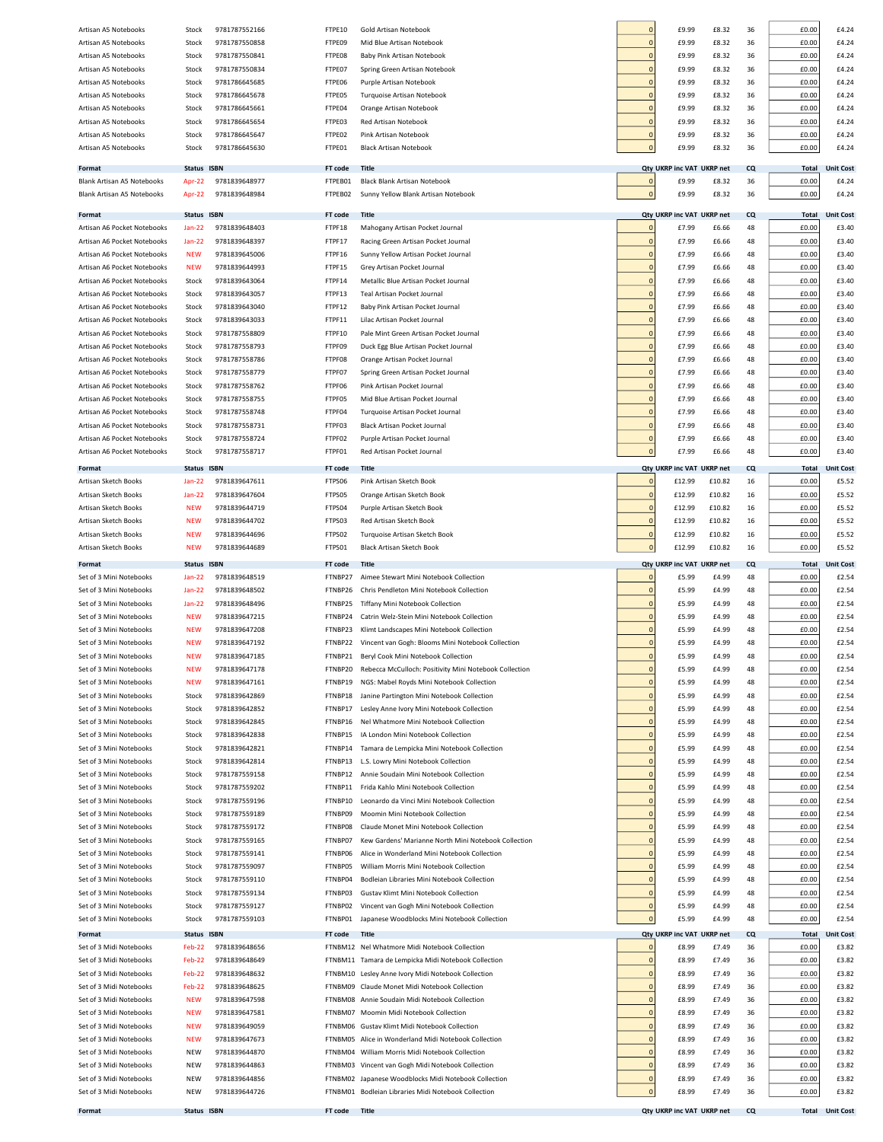| Artisan A5 Notebooks                               | Stock          | 9781787552166                  | FTPE10             | Gold Artisan Notebook                                                          | $\overline{0}$                   | £9.99                     | £8.32           | 36       | £0.00          | £4.24                  |
|----------------------------------------------------|----------------|--------------------------------|--------------------|--------------------------------------------------------------------------------|----------------------------------|---------------------------|-----------------|----------|----------------|------------------------|
| Artisan A5 Notebooks                               | Stock          | 9781787550858                  | FTPE09             | Mid Blue Artisan Notebook                                                      | $\overline{0}$                   | £9.99                     | £8.32           | 36       | £0.00          | £4.24                  |
| Artisan A5 Notebooks                               | Stock          | 9781787550841                  | FTPE08             | Baby Pink Artisan Notebook                                                     | $\overline{0}$                   | £9.99                     | £8.32           | 36       | £0.00          | £4.24                  |
| Artisan A5 Notebooks                               | Stock          | 9781787550834                  | FTPE07             | Spring Green Artisan Notebook                                                  | $\overline{0}$                   | £9.99                     | £8.32           | 36       | £0.00          | £4.24                  |
| Artisan A5 Notebooks                               | Stock          | 9781786645685                  | FTPE06             | Purple Artisan Notebook                                                        | $\overline{0}$                   | £9.99                     | £8.32           | 36       | £0.00          | £4.24                  |
| Artisan A5 Notebooks                               | Stock          | 9781786645678                  | FTPE05             | Turquoise Artisan Notebook                                                     | $\overline{0}$                   | £9.99                     | £8.32           | 36       | £0.00          | £4.24                  |
| Artisan A5 Notebooks                               | Stock          | 9781786645661                  | FTPE04             | Orange Artisan Notebook                                                        | $\overline{0}$                   | £9.99                     | £8.32           | 36       | £0.00          | £4.24                  |
| Artisan A5 Notebooks                               | Stock          | 9781786645654                  | FTPE03             | Red Artisan Notebook                                                           | $\overline{0}$                   | £9.99                     | £8.32           | 36       | £0.00          | £4.24                  |
| Artisan A5 Notebooks                               | Stock          | 9781786645647                  | FTPE02             | Pink Artisan Notebook                                                          | $\overline{0}$                   | £9.99                     | £8.32           | 36       | £0.00          | £4.24                  |
| Artisan A5 Notebooks                               | Stock          | 9781786645630                  | FTPE01             | <b>Black Artisan Notebook</b>                                                  | $\overline{0}$                   | £9.99                     | £8.32           | 36       | £0.00          | £4.24                  |
|                                                    |                |                                |                    |                                                                                |                                  |                           |                 |          |                |                        |
| Format                                             | Status ISBN    |                                | FT code            | <b>Title</b>                                                                   |                                  | Qty UKRP inc VAT UKRP net |                 | CQ       | <b>Total</b>   | <b>Unit Cost</b>       |
| Blank Artisan A5 Notebooks                         | Apr-22         | 9781839648977                  | FTPEB01            | Black Blank Artisan Notebook                                                   | $\mathbf 0$                      | £9.99                     | £8.32           | 36       | £0.00          | £4.24                  |
| <b>Blank Artisan A5 Notebooks</b>                  | Apr-22         | 9781839648984                  | FTPEB02            | Sunny Yellow Blank Artisan Notebook                                            | $\pmb{0}$                        | £9.99                     | £8.32           | 36       | £0.00          | £4.24                  |
| Format                                             | Status ISBN    |                                | FT code            | Title                                                                          |                                  | Qty UKRP inc VAT UKRP net |                 | CQ       | <b>Total</b>   | <b>Unit Cost</b>       |
| Artisan A6 Pocket Notebooks                        | $Jan-22$       | 9781839648403                  | FTPF18             | Mahogany Artisan Pocket Journal                                                | $\overline{0}$                   | £7.99                     | £6.66           | 48       | £0.00          | £3.40                  |
| Artisan A6 Pocket Notebooks                        | <b>Jan-22</b>  | 9781839648397                  | FTPF17             | Racing Green Artisan Pocket Journal                                            | $\overline{0}$                   | £7.99                     | £6.66           | 48       | £0.00          | £3.40                  |
| Artisan A6 Pocket Notebooks                        | <b>NEW</b>     | 9781839645006                  | FTPF16             | Sunny Yellow Artisan Pocket Journal                                            | $\overline{0}$                   | £7.99                     | £6.66           | 48       | £0.00          | £3.40                  |
| Artisan A6 Pocket Notebooks                        | <b>NEW</b>     | 9781839644993                  | FTPF15             | Grey Artisan Pocket Journal                                                    | $\overline{0}$                   | £7.99                     | £6.66           | 48       | £0.00          | £3.40                  |
| Artisan A6 Pocket Notebooks                        | Stock          | 9781839643064                  | FTPF14             | Metallic Blue Artisan Pocket Journal                                           | $\overline{0}$                   | £7.99                     | £6.66           | 48       | £0.00          | £3.40                  |
| Artisan A6 Pocket Notebooks                        | Stock          | 9781839643057                  | FTPF13             | Teal Artisan Pocket Journal                                                    | $\overline{0}$                   | £7.99                     | £6.66           | 48       | £0.00          | £3.40                  |
| Artisan A6 Pocket Notebooks                        | Stock          | 9781839643040                  | FTPF12             | Baby Pink Artisan Pocket Journal                                               | $\overline{0}$                   | £7.99                     | £6.66           | 48       | £0.00          | £3.40                  |
| Artisan A6 Pocket Notebooks                        | Stock          | 9781839643033                  | FTPF11             | Lilac Artisan Pocket Journal                                                   | $\overline{0}$                   | £7.99                     | £6.66           | 48       | £0.00          | £3.40                  |
| Artisan A6 Pocket Notebooks                        | Stock          | 9781787558809                  | FTPF10             | Pale Mint Green Artisan Pocket Journal                                         | $\overline{0}$                   | £7.99                     | £6.66           | 48       | £0.00          | £3.40                  |
| Artisan A6 Pocket Notebooks                        | Stock          | 9781787558793                  | FTPF09             | Duck Egg Blue Artisan Pocket Journal                                           | $\overline{0}$                   | £7.99                     | £6.66           | 48       | £0.00          | £3.40                  |
| Artisan A6 Pocket Notebooks                        | Stock          | 9781787558786                  | FTPF08             | Orange Artisan Pocket Journal                                                  | $\overline{0}$                   | £7.99                     | £6.66           | 48       | £0.00          | £3.40                  |
| Artisan A6 Pocket Notebooks                        | Stock          | 9781787558779                  | FTPF07             | Spring Green Artisan Pocket Journal                                            | $\overline{0}$                   | £7.99                     | £6.66           | 48       | £0.00          | £3.40                  |
| Artisan A6 Pocket Notebooks                        | Stock          | 9781787558762                  | FTPF06             | Pink Artisan Pocket Journal                                                    | $\overline{0}$                   | £7.99                     | £6.66           | 48       | £0.00          | £3.40                  |
| Artisan A6 Pocket Notebooks                        | Stock          | 9781787558755                  | FTPF05             | Mid Blue Artisan Pocket Journal                                                | $\overline{0}$                   | £7.99                     | £6.66           | 48       | £0.00          | £3.40                  |
| Artisan A6 Pocket Notebooks                        |                | 9781787558748                  | FTPF04             | Turquoise Artisan Pocket Journal                                               | $\overline{0}$                   | £7.99                     | £6.66           | 48       | £0.00          | £3.40                  |
| Artisan A6 Pocket Notebooks                        | Stock          | 9781787558731                  | FTPF03             | Black Artisan Pocket Journal                                                   | $\overline{0}$                   | £7.99                     | £6.66           | 48       | £0.00          | £3.40                  |
| Artisan A6 Pocket Notebooks                        | Stock          |                                |                    |                                                                                | $\mathbf 0$                      |                           |                 |          |                |                        |
|                                                    | Stock          | 9781787558724                  | FTPF02<br>FTPF01   | Purple Artisan Pocket Journal                                                  | $\overline{0}$                   | £7.99<br>£7.99            | £6.66           | 48<br>48 | £0.00          | £3.40<br>£3.40         |
| Artisan A6 Pocket Notebooks                        | Stock          | 9781787558717                  |                    | Red Artisan Pocket Journal                                                     |                                  |                           | £6.66           |          | £0.00          |                        |
| Format                                             | Status ISBN    |                                | FT code            | <b>Title</b>                                                                   |                                  | <b>Qty UKRP inc VAT</b>   | <b>UKRP</b> net | CQ       | <b>Total</b>   | <b>Unit Cost</b>       |
| Artisan Sketch Books                               | $Jan-22$       | 9781839647611                  | FTPS06             | Pink Artisan Sketch Book                                                       | $\overline{0}$                   | £12.99                    | £10.82          | 16       | £0.00          | £5.52                  |
| Artisan Sketch Books                               | <b>Jan-22</b>  | 9781839647604                  | FTPS05             | Orange Artisan Sketch Book                                                     | $\overline{0}$                   | £12.99                    | £10.82          | 16       | £0.00          | £5.52                  |
| Artisan Sketch Books                               | <b>NEW</b>     | 9781839644719                  | FTPS04             | Purple Artisan Sketch Book                                                     | $\overline{0}$                   | £12.99                    | £10.82          | 16       | £0.00          | £5.52                  |
| Artisan Sketch Books                               | <b>NEW</b>     | 9781839644702                  | FTPS03             | Red Artisan Sketch Book                                                        | $\overline{0}$                   | £12.99                    | £10.82          | 16       | £0.00          | £5.52                  |
| Artisan Sketch Books                               | <b>NEW</b>     | 9781839644696                  | FTPS02             | Turquoise Artisan Sketch Book                                                  | $\overline{0}$                   | £12.99                    | £10.82          | 16       | £0.00          | £5.52                  |
| Artisan Sketch Books                               | <b>NEW</b>     | 9781839644689                  | FTPS01             | Black Artisan Sketch Book                                                      | $\overline{0}$                   | £12.99                    | £10.82          | 16       | £0.00          | £5.52                  |
| Format                                             | Status ISBN    |                                | FT code            | <b>Title</b>                                                                   |                                  | Qty UKRP inc VAT UKRP net |                 | CQ       | <b>Total</b>   | <b>Unit Cost</b>       |
| Set of 3 Mini Notebooks                            | $Jan-22$       | 9781839648519                  | FTNBP27            | Aimee Stewart Mini Notebook Collection                                         | $\overline{0}$                   | £5.99                     | £4.99           | 48       | £0.00          | £2.54                  |
| Set of 3 Mini Notebooks                            | $Jan-22$       | 9781839648502                  | FTNBP26            | Chris Pendleton Mini Notebook Collection                                       | $\overline{0}$                   | £5.99                     | £4.99           | 48       | £0.00          | £2.54                  |
| Set of 3 Mini Notebooks                            | $Jan-22$       | 9781839648496                  | FTNBP25            | Tiffany Mini Notebook Collection                                               | $\circ$                          | £5.99                     | £4.99           | 48       | £0.00          | £2.54                  |
| Set of 3 Mini Notebooks                            | <b>NEW</b>     | 9781839647215                  | FTNBP24            | Catrin Welz-Stein Mini Notebook Collection                                     | $\overline{0}$                   | £5.99                     | £4.99           | 48       | £0.00          | £2.54                  |
| Set of 3 Mini Notebooks                            | <b>NEW</b>     | 9781839647208                  | FTNBP23            | Klimt Landscapes Mini Notebook Collection                                      | $\overline{0}$                   | £5.99                     | £4.99           | 48       | £0.00          | £2.54                  |
| Set of 3 Mini Notebooks                            | <b>NEW</b>     | 9781839647192                  | FTNBP22            | Vincent van Gogh: Blooms Mini Notebook Collection                              | $\overline{0}$                   | £5.99                     | £4.99           | 48       | £0.00          | £2.54                  |
| Set of 3 Mini Notebooks                            | <b>NEW</b>     | 9781839647185                  | FTNBP21            | Beryl Cook Mini Notebook Collection                                            | $\circ$                          | £5.99                     | £4.99           | 48       | £0.00          | £2.54                  |
| Set of 3 Mini Notebooks                            | NEW            | 9781839647178                  |                    | Rebecca McCulloch: Positivity Mini Notebook Collection                         |                                  | £5.99                     | £4.99           |          | £0.00          | £2.54                  |
| Set of 3 Mini Notebooks                            | <b>NEW</b>     | 9781839647161                  | FTNBP19            | NGS: Mabel Royds Mini Notebook Collection                                      | $\circ$                          | £5.99                     | £4.99           | 48       | £0.00          | £2.54                  |
| Set of 3 Mini Notebooks                            | Stock          | 9781839642869                  | FTNBP18            | Janine Partington Mini Notebook Collection                                     | $\overline{0}$                   | £5.99                     | £4.99           | 48       | £0.00          | £2.54                  |
| Set of 3 Mini Notebooks                            | Stock          | 9781839642852                  | FTNBP17            | Lesley Anne Ivory Mini Notebook Collection                                     | $\overline{0}$                   | £5.99                     | £4.99           | 48       | £0.00          | £2.54                  |
| Set of 3 Mini Notebooks                            | Stock          | 9781839642845                  | FTNBP16            | Nel Whatmore Mini Notebook Collection                                          | $\overline{0}$                   | £5.99                     | £4.99           | 48       | £0.00          | £2.54                  |
| Set of 3 Mini Notebooks                            | Stock          | 9781839642838                  | FTNBP15            | IA London Mini Notebook Collection                                             | $\overline{0}$                   | £5.99                     | £4.99           | 48       | £0.00          | £2.54                  |
| Set of 3 Mini Notebooks                            | Stock          | 9781839642821                  | FTNBP14            | Tamara de Lempicka Mini Notebook Collection                                    | $\overline{0}$                   | £5.99                     | £4.99           | 48       | £0.00          | £2.54                  |
| Set of 3 Mini Notebooks                            |                | 9781839642814                  |                    | L.S. Lowry Mini Notebook Collection                                            | $\overline{0}$                   |                           |                 |          |                |                        |
|                                                    | Stock          |                                | FTNBP13            |                                                                                |                                  | £5.99                     | £4.99           | 48       | £0.00          | £2.54                  |
| Set of 3 Mini Notebooks<br>Set of 3 Mini Notebooks | Stock<br>Stock | 9781787559158<br>9781787559202 | FTNBP12<br>FTNBP11 | Annie Soudain Mini Notebook Collection<br>Frida Kahlo Mini Notebook Collection | $\overline{0}$<br>$\overline{0}$ | £5.99<br>£5.99            | £4.99<br>£4.99  | 48<br>48 | £0.00<br>£0.00 | £2.54<br>£2.54         |
|                                                    |                |                                |                    |                                                                                | $\overline{0}$                   |                           |                 |          |                |                        |
| Set of 3 Mini Notebooks<br>Set of 3 Mini Notebooks | Stock<br>Stock | 9781787559196<br>9781787559189 | FTNBP10<br>FTNBP09 | Leonardo da Vinci Mini Notebook Collection<br>Moomin Mini Notebook Collection  | $\overline{0}$                   | £5.99<br>£5.99            | £4.99           | 48<br>48 | £0.00<br>£0.00 | £2.54<br>£2.54         |
| Set of 3 Mini Notebooks                            | Stock          | 9781787559172                  | FTNBP08            | Claude Monet Mini Notebook Collection                                          | $\overline{0}$                   | £5.99                     | £4.99<br>£4.99  | 48       | £0.00          | £2.54                  |
|                                                    |                | 9781787559165                  |                    |                                                                                | $\overline{0}$                   |                           |                 |          |                |                        |
| Set of 3 Mini Notebooks                            | Stock          |                                | FTNBP07            | Kew Gardens' Marianne North Mini Notebook Collection                           | $\overline{0}$                   | £5.99                     | £4.99           | 48       | £0.00          | £2.54                  |
| Set of 3 Mini Notebooks                            | Stock          | 9781787559141                  | FTNBP06            | Alice in Wonderland Mini Notebook Collection                                   |                                  | £5.99                     | £4.99           | 48       | £0.00          | £2.54                  |
| Set of 3 Mini Notebooks                            | Stock          | 9781787559097                  | FTNBP05            | William Morris Mini Notebook Collection                                        | $\overline{0}$                   | £5.99                     | £4.99           | 48       | £0.00          | £2.54                  |
| Set of 3 Mini Notebooks                            | Stock          | 9781787559110                  | FTNBP04            | Bodleian Libraries Mini Notebook Collection                                    | $\overline{0}$                   | £5.99                     | £4.99           | 48       | £0.00          | £2.54                  |
| Set of 3 Mini Notebooks                            | Stock          | 9781787559134                  | FTNBP03            | Gustav Klimt Mini Notebook Collection                                          | $\overline{0}$                   | £5.99                     | £4.99           | 48       | £0.00          | £2.54                  |
| Set of 3 Mini Notebooks                            | Stock          | 9781787559127                  | FTNBP02            | Vincent van Gogh Mini Notebook Collection                                      | $\pmb{0}$                        | £5.99                     | £4.99           | 48       | £0.00          | £2.54                  |
| Set of 3 Mini Notebooks                            | Stock          | 9781787559103                  | FTNBP01            | Japanese Woodblocks Mini Notebook Collection                                   | $\circ$                          | £5.99                     | £4.99           | 48       | £0.00          | £2.54                  |
| Format                                             | Status ISBN    |                                | FT code            | Title                                                                          |                                  | Qty UKRP inc VAT UKRP net |                 | CQ       | <b>Total</b>   | <b>Unit Cost</b>       |
| Set of 3 Midi Notebooks                            | Feb-22         | 9781839648656                  |                    | FTNBM12 Nel Whatmore Midi Notebook Collection                                  | $\overline{0}$                   | £8.99                     | £7.49           | 36       | £0.00          | £3.82                  |
| Set of 3 Midi Notebooks                            | Feb-22         | 9781839648649                  |                    | FTNBM11 Tamara de Lempicka Midi Notebook Collection                            | $\overline{0}$                   | £8.99                     | £7.49           | 36       | £0.00          | £3.82                  |
| Set of 3 Midi Notebooks                            | Feb-22         | 9781839648632                  |                    | FTNBM10 Lesley Anne Ivory Midi Notebook Collection                             | $\overline{0}$                   | £8.99                     | £7.49           | 36       | £0.00          | £3.82                  |
| Set of 3 Midi Notebooks                            | Feb-22         | 9781839648625                  |                    | FTNBM09 Claude Monet Midi Notebook Collection                                  | $\overline{0}$                   | £8.99                     | £7.49           | 36       | £0.00          | £3.82                  |
| Set of 3 Midi Notebooks                            | <b>NEW</b>     | 9781839647598                  |                    | FTNBM08 Annie Soudain Midi Notebook Collection                                 | $\overline{0}$                   | £8.99                     | £7.49           | 36       | £0.00          | £3.82                  |
| Set of 3 Midi Notebooks                            | <b>NEW</b>     | 9781839647581                  |                    | FTNBM07 Moomin Midi Notebook Collection                                        | $\overline{0}$                   | £8.99                     | £7.49           | 36       | £0.00          | £3.82                  |
| Set of 3 Midi Notebooks                            | <b>NEW</b>     | 9781839649059                  |                    | FTNBM06 Gustav Klimt Midi Notebook Collection                                  | $\overline{0}$                   | £8.99                     | £7.49           | 36       | £0.00          | £3.82                  |
| Set of 3 Midi Notebooks                            | <b>NEW</b>     | 9781839647673                  |                    | FTNBM05 Alice in Wonderland Midi Notebook Collection                           | $\overline{0}$                   | £8.99                     | £7.49           | 36       | £0.00          | £3.82                  |
| Set of 3 Midi Notebooks                            | NEW            | 9781839644870                  |                    | FTNBM04 William Morris Midi Notebook Collection                                | $\overline{0}$                   | £8.99                     | £7.49           | 36       | £0.00          | £3.82                  |
| Set of 3 Midi Notebooks                            | <b>NEW</b>     | 9781839644863                  |                    | FTNBM03 Vincent van Gogh Midi Notebook Collection                              | $\overline{0}$                   | £8.99                     | £7.49           | 36       | £0.00          | £3.82                  |
| Set of 3 Midi Notebooks                            | <b>NEW</b>     | 9781839644856                  |                    | FTNBM02 Japanese Woodblocks Midi Notebook Collection                           | $\mathbf 0$                      | £8.99                     | £7.49           | 36       | £0.00          | £3.82                  |
| Set of 3 Midi Notebooks                            | <b>NEW</b>     | 9781839644726                  |                    | FTNBM01 Bodleian Libraries Midi Notebook Collection                            | $\overline{0}$                   | £8.99                     | £7.49           | 36       | £0.00          | £3.82                  |
|                                                    | Status ISBN    |                                | FT code Title      |                                                                                |                                  | Qty UKRP inc VAT UKRP net |                 | CQ       |                | <b>Total Unit Cost</b> |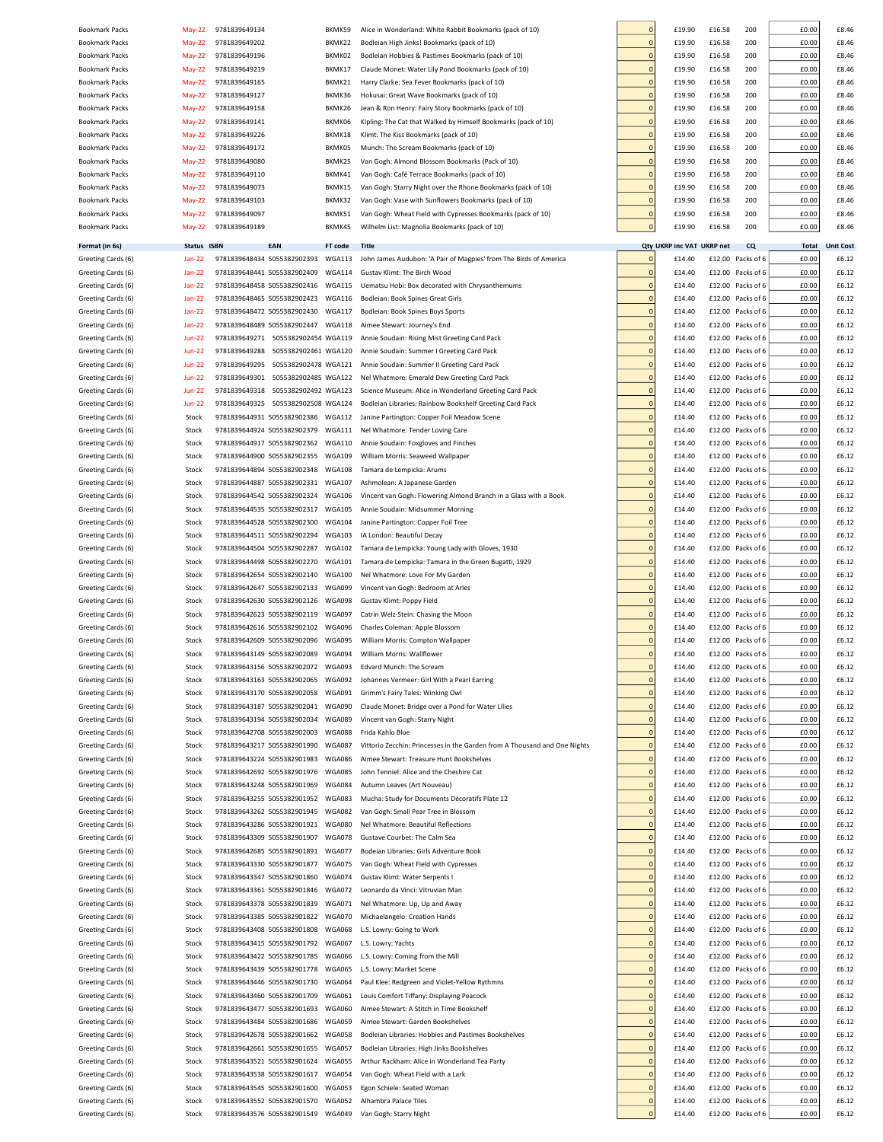| <b>Bookmark Packs</b> | May-22        | 9781839649134 |                                    | BKMK59        | Alice in Wonderland: White Rabbit Bookmarks (pack of 10)                  | $\mathbf 0$    | £19.90                  | £16.58          | 200               | £0.00 | £8.46            |
|-----------------------|---------------|---------------|------------------------------------|---------------|---------------------------------------------------------------------------|----------------|-------------------------|-----------------|-------------------|-------|------------------|
| <b>Bookmark Packs</b> | May-22        | 9781839649202 |                                    | BKMK22        | Bodleian High Jinks! Bookmarks (pack of 10)                               | $\mathbf{0}$   | £19.90                  | £16.58          | 200               | £0.00 | £8.46            |
| <b>Bookmark Packs</b> | May-22        | 9781839649196 |                                    | BKMK02        | Bodleian Hobbies & Pastimes Bookmarks (pack of 10)                        | $\Omega$       | £19.90                  | £16.58          | 200               | £0.00 | £8.46            |
| <b>Bookmark Packs</b> | May-22        | 9781839649219 |                                    | BKMK17        | Claude Monet: Water Lily Pond Bookmarks (pack of 10)                      | $\mathbf 0$    | £19.90                  | £16.58          | 200               | £0.00 | £8.46            |
| <b>Bookmark Packs</b> | $May-22$      | 9781839649165 |                                    | BKMK21        | Harry Clarke: Sea Fever Bookmarks (pack of 10)                            |                | £19.90                  | £16.58          | 200               | £0.00 | £8.46            |
| <b>Bookmark Packs</b> | <b>May-22</b> | 9781839649127 |                                    | BKMK36        | Hokusai: Great Wave Bookmarks (pack of 10)                                | $\mathbf 0$    | £19.90                  | £16.58          | 200               | £0.00 | £8.46            |
| <b>Bookmark Packs</b> | <b>May-22</b> | 9781839649158 |                                    | BKMK26        | Jean & Ron Henry: Fairy Story Bookmarks (pack of 10)                      | $\mathbf 0$    | £19.90                  | £16.58          | 200               | £0.00 | £8.46            |
|                       |               |               |                                    |               |                                                                           |                |                         |                 |                   |       |                  |
| <b>Bookmark Packs</b> | May-22        | 9781839649141 |                                    | BKMK06        | Kipling: The Cat that Walked by Himself Bookmarks (pack of 10)            | $\mathbf 0$    | £19.90                  | £16.58          | 200               | £0.00 | £8.46            |
| <b>Bookmark Packs</b> | <b>May-22</b> | 9781839649226 |                                    | BKMK18        | Klimt: The Kiss Bookmarks (pack of 10)                                    | $\Omega$       | £19.90                  | £16.58          | 200               | £0.00 | £8.46            |
| <b>Bookmark Packs</b> | May-22        | 9781839649172 |                                    | BKMK05        | Munch: The Scream Bookmarks (pack of 10)                                  | $\Omega$       | £19.90                  | £16.58          | 200               | £0.00 | £8.46            |
| <b>Bookmark Packs</b> | $May-22$      | 9781839649080 |                                    | BKMK25        | Van Gogh: Almond Blossom Bookmarks (Pack of 10)                           | $\Omega$       | £19.90                  | £16.58          | 200               | £0.00 | £8.46            |
| <b>Bookmark Packs</b> | May-22        | 9781839649110 |                                    | BKMK41        | Van Gogh: Café Terrace Bookmarks (pack of 10)                             | $\Omega$       | £19.90                  | £16.58          | 200               | £0.00 | £8.46            |
| <b>Bookmark Packs</b> | $May-22$      | 9781839649073 |                                    | BKMK15        | Van Gogh: Starry Night over the Rhone Bookmarks (pack of 10)              | $\Omega$       | £19.90                  | £16.58          | 200               | £0.00 | £8.46            |
| <b>Bookmark Packs</b> | $May-22$      | 9781839649103 |                                    | BKMK32        | Van Gogh: Vase with Sunflowers Bookmarks (pack of 10)                     | $\Omega$       | £19.90                  | £16.58          | 200               | £0.00 | £8.46            |
| <b>Bookmark Packs</b> | May-22        | 9781839649097 |                                    | BKMK51        | Van Gogh: Wheat Field with Cypresses Bookmarks (pack of 10)               | $\Omega$       | £19.90                  | £16.58          | 200               | £0.00 | £8.46            |
| <b>Bookmark Packs</b> | May-22        | 9781839649189 |                                    | BKMK45        | Wilhelm List: Magnolia Bookmarks (pack of 10)                             | $\mathbf 0$    | £19.90                  | £16.58          | 200               | £0.00 | £8.46            |
|                       |               |               |                                    |               |                                                                           |                |                         |                 |                   |       |                  |
| Format (in 6s)        | <b>Status</b> | <b>ISBN</b>   | EAN                                | FT code       | Title                                                                     |                | <b>Qty UKRP inc VAT</b> | <b>UKRP</b> net | <b>CQ</b>         | Total | <b>Unit Cost</b> |
| Greeting Cards (6)    | Jan-22        |               | 9781839648434 5055382902393        | WGA113        | John James Audubon: 'A Pair of Magpies' from The Birds of America         | $\Omega$       | £14.40                  | £12.00          | Packs of 6        | £0.00 | £6.12            |
| Greeting Cards (6)    | <b>Jan-22</b> |               | 9781839648441 5055382902409        | WGA114        | Gustav Klimt: The Birch Wood                                              | $\Omega$       | £14.40                  |                 | £12.00 Packs of 6 | £0.00 | £6.12            |
| Greeting Cards (6)    | <b>Jan-22</b> |               | 9781839648458 5055382902416        | <b>WGA115</b> | Uematsu Hobi: Box decorated with Chrysanthemums                           | $\mathbf 0$    | £14.40                  | £12.00          | Packs of 6        | £0.00 | £6.12            |
|                       |               |               |                                    |               |                                                                           |                |                         |                 |                   |       |                  |
| Greeting Cards (6)    | <b>Jan-22</b> |               | 9781839648465 5055382902423        | <b>WGA116</b> | Bodleian: Book Spines Great Girls                                         | $\mathbf 0$    | £14.40                  | £12.00          | Packs of 6        | £0.00 | £6.12            |
| Greeting Cards (6)    | <b>Jan-22</b> |               | 9781839648472 5055382902430        | <b>WGA117</b> | Bodleian: Book Spines Boys Sports                                         | $\mathbf 0$    | £14.40                  | £12.00          | Packs of 6        | £0.00 | £6.12            |
| Greeting Cards (6)    | $Jan-22$      |               | 9781839648489 5055382902447        | <b>WGA118</b> | Aimee Stewart: Journey's End                                              | $\Omega$       | £14.40                  |                 | £12.00 Packs of 6 | £0.00 | £6.12            |
| Greeting Cards (6)    | <b>Jun-22</b> | 9781839649271 | 5055382902454 WGA119               |               | Annie Soudain: Rising Mist Greeting Card Pack                             | $\Omega$       | £14.40                  | £12.00          | Packs of 6        | £0.00 | £6.12            |
| Greeting Cards (6)    | $Jun-22$      | 9781839649288 | 5055382902461 WGA120               |               | Annie Soudain: Summer I Greeting Card Pack                                | $\Omega$       | £14.40                  | £12.00          | Packs of 6        | £0.00 | £6.12            |
| Greeting Cards (6)    | <b>Jun-22</b> | 9781839649295 | 5055382902478 WGA121               |               | Annie Soudain: Summer II Greeting Card Pack                               | $\Omega$       | £14.40                  | £12.00          | Packs of 6        | £0.00 | £6.12            |
| Greeting Cards (6)    | <b>Jun-22</b> | 9781839649301 | 5055382902485 WGA122               |               | Nel Whatmore: Emerald Dew Greeting Card Pack                              | $\Omega$       | £14.40                  | £12.00          | Packs of 6        | £0.00 | £6.12            |
| Greeting Cards (6)    | $Jun-22$      | 9781839649318 | 5055382902492 WGA123               |               | Science Museum: Alice in Wonderland Greeting Card Pack                    | $\Omega$       | £14.40                  | £12.00          | Packs of 6        | £0.00 | £6.12            |
| Greeting Cards (6)    | <b>Jun-22</b> | 9781839649325 | 5055382902508 WGA124               |               | Bodleian Libraries: Rainbow Bookshelf Greeting Card Pack                  | $\Omega$       | £14.40                  | £12.00          | Packs of 6        | £0.00 | £6.12            |
|                       |               |               |                                    |               |                                                                           |                |                         |                 |                   |       |                  |
| Greeting Cards (6)    | Stock         |               | 9781839644931 5055382902386 WGA112 |               | Janine Partington: Copper Foil Meadow Scene                               | $\Omega$       | £14.40                  | £12.00          | Packs of 6        | £0.00 | £6.12            |
| Greeting Cards (6)    | Stock         |               | 9781839644924 5055382902379        | <b>WGA111</b> | Nel Whatmore: Tender Loving Care                                          | $\Omega$       | £14.40                  | £12.00          | Packs of 6        | £0.00 | £6.12            |
| Greeting Cards (6)    | Stock         |               | 9781839644917 5055382902362        | <b>WGA110</b> | Annie Soudain: Foxgloves and Finches                                      |                | £14.40                  | £12.00          | Packs of 6        | £0.00 | £6.12            |
| Greeting Cards (6)    | Stock         |               | 9781839644900 5055382902355        | <b>WGA109</b> | William Morris: Seaweed Wallpaper                                         |                | £14.40                  | £12.00          | Packs of 6        | £0.00 | £6.12            |
| Greeting Cards (6)    | Stock         |               | 9781839644894 5055382902348        | <b>WGA108</b> | Tamara de Lempicka: Arums                                                 |                | £14.40                  |                 | £12.00 Packs of 6 | £0.00 | £6.12            |
| Greeting Cards (6)    | Stock         |               | 9781839644887 5055382902331        | <b>WGA107</b> | Ashmolean: A Japanese Garden                                              | $\mathbf 0$    | £14.40                  | £12.00          | Packs of 6        | £0.00 | £6.12            |
| Greeting Cards (6)    | Stock         |               | 9781839644542 5055382902324        | <b>WGA106</b> | Vincent van Gogh: Flowering Almond Branch in a Glass with a Book          | $\Omega$       | £14.40                  |                 | £12.00 Packs of 6 | £0.00 | £6.12            |
| Greeting Cards (6)    | Stock         |               | 9781839644535 5055382902317        | <b>WGA105</b> | Annie Soudain: Midsummer Morning                                          | $\mathbf 0$    | £14.40                  |                 | £12.00 Packs of 6 | £0.00 | £6.12            |
| Greeting Cards (6)    | Stock         |               | 9781839644528 5055382902300        | <b>WGA104</b> |                                                                           | $\Omega$       | £14.40                  |                 | £12.00 Packs of 6 | £0.00 | £6.12            |
|                       |               |               |                                    |               | Janine Partington: Copper Foil Tree                                       |                |                         |                 |                   |       |                  |
| Greeting Cards (6)    | Stock         |               | 9781839644511 5055382902294        | <b>WGA103</b> | IA London: Beautiful Decay                                                | $\Omega$       | £14.40                  | £12.00          | Packs of 6        | £0.00 | £6.12            |
| Greeting Cards (6)    | Stock         |               | 9781839644504 5055382902287        | <b>WGA102</b> | Tamara de Lempicka: Young Lady with Gloves, 1930                          | $\Omega$       | £14.40                  |                 | £12.00 Packs of 6 | £0.00 | £6.12            |
| Greeting Cards (6)    | Stock         |               | 9781839644498 5055382902270        | <b>WGA101</b> | Tamara de Lempicka: Tamara in the Green Bugatti, 1929                     | $\mathbf{0}$   | £14.40                  | £12.00          | Packs of 6        | £0.00 | £6.12            |
| Greeting Cards (6)    | Stock         |               | 9781839642654 5055382902140        | <b>WGA100</b> | Nel Whatmore: Love For My Garden                                          | $\mathbf{0}$   | £14.40                  |                 | £12.00 Packs of 6 | £0.00 | £6.12            |
| Greeting Cards (6)    | Stock         |               | 9781839642647 5055382902133        | WGA099        | Vincent van Gogh: Bedroom at Arles                                        | $\mathbf 0$    | £14.40                  |                 | £12.00 Packs of 6 | £0.00 | £6.12            |
| Greeting Cards (6)    | Stock         |               | 9781839642630 5055382902126        | WGA098        | Gustav Klimt: Poppy Field                                                 | $\Omega$       | £14.40                  |                 | £12.00 Packs of 6 | £0.00 | £6.12            |
| Greeting Cards (6)    | Stock         |               | 9781839642623 5055382902119        | <b>WGA097</b> | Catrin Welz-Stein: Chasing the Moon                                       |                | £14.40                  | £12.00          | Packs of 6        | £0.00 | £6.12            |
| Greeting Cards (6)    | Stock         |               | 9781839642616 5055382902102        | WGA096        | Charles Coleman: Apple Blossom                                            |                | £14.40                  |                 | £12.00 Packs of 6 | £0.00 | £6.12            |
| Greeting Cards (6)    | Stock         |               | 9781839642609 5055382902096        | WGA095        | William Morris: Compton Wallpaper                                         |                | £14.40                  |                 | £12.00 Packs of 6 | £0.00 | £6.12            |
|                       |               |               |                                    |               |                                                                           |                |                         |                 |                   |       |                  |
| Greeting Cards (6)    | Stock         |               | 9781839643149 5055382902089        | WGA094        | William Morris: Wallflower                                                | $\Omega$       | £14.40                  |                 | £12.00 Packs of 6 | £0.00 | £6.12            |
| Greeting Cards (6)    | Stock         |               | 9781839643156 5055382902072        | WGA093        | <b>Edvard Munch: The Scream</b>                                           | $\Omega$       | £14.40                  |                 | £12.00 Packs of 6 | £0.00 | £6.12            |
| Greeting Cards (6)    | Stock         |               | 9781839643163 5055382902065        | <b>WGA092</b> | Johannes Vermeer: Girl With a Pearl Earring                               | $\overline{0}$ | £14.40                  |                 | £12.00 Packs of 6 | £0.00 | £6.12            |
| Greeting Cards (6)    | Stock         |               | 9781839643170 5055382902058        | <b>WGA091</b> | Grimm's Fairy Tales: Winking Owl                                          | $\Omega$       | £14.40                  |                 | £12.00 Packs of 6 | £0.00 | £6.12            |
| Greeting Cards (6)    | Stock         |               | 9781839643187 5055382902041        | WGA090        | Claude Monet: Bridge over a Pond for Water Lilies                         | $\Omega$       | £14.40                  | £12.00          | Packs of 6        | £0.00 | £6.12            |
| Greeting Cards (6)    | Stock         |               | 9781839643194 5055382902034        | <b>WGA089</b> | Vincent van Gogh: Starry Night                                            | $\Omega$       | £14.40                  |                 | £12.00 Packs of 6 | £0.00 | £6.12            |
| Greeting Cards (6)    | Stock         |               | 9781839642708 5055382902003        | <b>WGA088</b> | Frida Kahlo Blue                                                          | $\Omega$       | £14.40                  |                 | £12.00 Packs of 6 | £0.00 | £6.12            |
| Greeting Cards (6)    | Stock         |               | 9781839643217 5055382901990        | <b>WGA087</b> | Vittorio Zecchin: Princesses in the Garden from A Thousand and One Nights | $\Omega$       | £14.40                  |                 | £12.00 Packs of 6 | £0.00 | £6.12            |
| Greeting Cards (6)    |               |               |                                    | <b>WGA086</b> |                                                                           | $\Omega$       |                         |                 | Packs of 6        | £0.00 | £6.12            |
|                       | Stock         |               | 9781839643224 5055382901983        |               | Aimee Stewart: Treasure Hunt Bookshelves                                  |                | £14.40                  | £12.00          |                   |       |                  |
| Greeting Cards (6)    | Stock         |               | 9781839642692 5055382901976        | <b>WGA085</b> | John Tenniel: Alice and the Cheshire Cat                                  |                | £14.40                  |                 | £12.00 Packs of 6 | £0.00 | £6.12            |
| Greeting Cards (6)    | Stock         |               | 9781839643248 5055382901969        | <b>WGA084</b> | Autumn Leaves (Art Nouveau)                                               |                | £14.40                  | £12.00          | Packs of 6        | £0.00 | £6.12            |
| Greeting Cards (6)    | Stock         |               | 9781839643255 5055382901952        | <b>WGA083</b> | Mucha: Study for Documents Décoratifs Plate 12                            |                | £14.40                  |                 | £12.00 Packs of 6 | £0.00 | £6.12            |
| Greeting Cards (6)    | Stock         |               | 9781839643262 5055382901945        | <b>WGA082</b> | Van Gogh: Small Pear Tree in Blossom                                      | $\mathbf{0}$   | £14.40                  |                 | £12.00 Packs of 6 | £0.00 | £6.12            |
| Greeting Cards (6)    | Stock         |               | 9781839643286 5055382901921        | <b>WGA080</b> | Nel Whatmore: Beautiful Reflections                                       | $\mathbf{0}$   | £14.40                  |                 | £12.00 Packs of 6 | £0.00 | £6.12            |
| Greeting Cards (6)    | Stock         |               | 9781839643309 5055382901907        | <b>WGA078</b> | Gustave Courbet: The Calm Sea                                             | $\mathbf 0$    | £14.40                  |                 | £12.00 Packs of 6 | £0.00 | £6.12            |
| Greeting Cards (6)    | Stock         |               | 9781839642685 5055382901891        | WGA077        | Bodeian Libraries: Girls Adventure Book                                   | $\Omega$       | £14.40                  |                 | £12.00 Packs of 6 | £0.00 | £6.12            |
| Greeting Cards (6)    | Stock         |               | 9781839643330 5055382901877        | <b>WGA075</b> | Van Gogh: Wheat Field with Cypresses                                      | $\mathbf{0}$   | £14.40                  |                 | £12.00 Packs of 6 | £0.00 | £6.12            |
| Greeting Cards (6)    | Stock         |               | 9781839643347 5055382901860        | WGA074        | Gustav Klimt: Water Serpents I                                            | $\mathbf{0}$   | £14.40                  |                 | £12.00 Packs of 6 | £0.00 | £6.12            |
|                       |               |               |                                    |               |                                                                           |                |                         |                 |                   |       |                  |
| Greeting Cards (6)    | Stock         |               | 9781839643361 5055382901846        | <b>WGA072</b> | Leonardo da Vinci: Vitruvian Man                                          | $\mathbf{0}$   | £14.40                  |                 | £12.00 Packs of 6 | £0.00 | £6.12            |
| Greeting Cards (6)    | Stock         |               | 9781839643378 5055382901839        | <b>WGA071</b> | Nel Whatmore: Up, Up and Away                                             | $\mathbf{0}$   | £14.40                  |                 | £12.00 Packs of 6 | £0.00 | £6.12            |
| Greeting Cards (6)    | Stock         |               | 9781839643385 5055382901822        | WGA070        | Michaelangelo: Creation Hands                                             | $\mathbf{0}$   | £14.40                  |                 | £12.00 Packs of 6 | £0.00 | £6.12            |
| Greeting Cards (6)    | Stock         |               | 9781839643408 5055382901808        | WGA068        | L.S. Lowry: Going to Work                                                 | $\mathbf 0$    | £14.40                  |                 | £12.00 Packs of 6 | £0.00 | £6.12            |
| Greeting Cards (6)    | Stock         |               | 9781839643415 5055382901792        | <b>WGA067</b> | L.S. Lowry: Yachts                                                        | $\mathbf 0$    | £14.40                  |                 | £12.00 Packs of 6 | £0.00 | £6.12            |
| Greeting Cards (6)    | Stock         |               | 9781839643422 5055382901785        | <b>WGA066</b> | L.S. Lowry: Coming from the Mill                                          | $\mathbf 0$    | £14.40                  |                 | £12.00 Packs of 6 | £0.00 | £6.12            |
| Greeting Cards (6)    | Stock         |               | 9781839643439 5055382901778        | <b>WGA065</b> | L.S. Lowry: Market Scene                                                  | $\mathbf 0$    | £14.40                  |                 | £12.00 Packs of 6 | £0.00 | £6.12            |
| Greeting Cards (6)    | Stock         |               | 9781839643446 5055382901730        | <b>WGA064</b> | Paul Klee: Redgreen and Violet-Yellow Rythmns                             | $\Omega$       | £14.40                  |                 | £12.00 Packs of 6 | £0.00 | £6.12            |
| Greeting Cards (6)    | Stock         |               | 9781839643460 5055382901709        | <b>WGA061</b> | Louis Comfort Tiffany: Displaying Peacock                                 | $\mathbf 0$    | £14.40                  |                 | £12.00 Packs of 6 | £0.00 | £6.12            |
|                       |               |               |                                    |               |                                                                           | $\Omega$       |                         |                 |                   |       |                  |
| Greeting Cards (6)    | Stock         |               | 9781839643477 5055382901693        | <b>WGA060</b> | Aimee Stewart: A Stitch in Time Bookshelf                                 |                | £14.40                  |                 | £12.00 Packs of 6 | £0.00 | £6.12            |
| Greeting Cards (6)    | Stock         |               | 9781839643484 5055382901686        | WGA059        | Aimee Stewart: Garden Bookshelves                                         | $\Omega$       | £14.40                  |                 | £12.00 Packs of 6 | £0.00 | £6.12            |
| Greeting Cards (6)    | Stock         |               | 9781839642678 5055382901662        | <b>WGA058</b> | Bodleian Libraries: Hobbies and Pastimes Bookshelves                      | $\Omega$       | £14.40                  | £12.00          | Packs of 6        | £0.00 | £6.12            |
| Greeting Cards (6)    | Stock         |               | 9781839642661 5055382901655        | WGA057        | Bodleian Libraries: High Jinks Bookshelves                                | $\Omega$       | £14.40                  |                 | £12.00 Packs of 6 | £0.00 | £6.12            |
| Greeting Cards (6)    | Stock         |               | 9781839643521 5055382901624        | <b>WGA055</b> | Arthur Rackham: Alice in Wonderland Tea Party                             | $\Omega$       | £14.40                  | £12.00          | Packs of 6        | £0.00 | £6.12            |
| Greeting Cards (6)    | Stock         |               | 9781839643538 5055382901617        | WGA054        | Van Gogh: Wheat Field with a Lark                                         | $\Omega$       | £14.40                  | £12.00          | Packs of 6        | £0.00 | £6.12            |
| Greeting Cards (6)    | Stock         |               | 9781839643545 5055382901600        | WGA053        | Egon Schiele: Seated Woman                                                | $\Omega$       | £14.40                  | £12.00          | Packs of 6        | £0.00 | £6.12            |
| Greeting Cards (6)    | Stock         |               | 9781839643552 5055382901570        | <b>WGA052</b> | Alhambra Palace Tiles                                                     |                | £14.40                  |                 | £12.00 Packs of 6 | £0.00 | £6.12            |
|                       |               |               |                                    |               |                                                                           |                |                         |                 |                   |       |                  |
| Greeting Cards (6)    | Stock         |               | 9781839643576 5055382901549        | WGA049        | Van Gogh: Starry Night                                                    |                | £14.40                  |                 | £12.00 Packs of 6 | £0.00 | £6.12            |